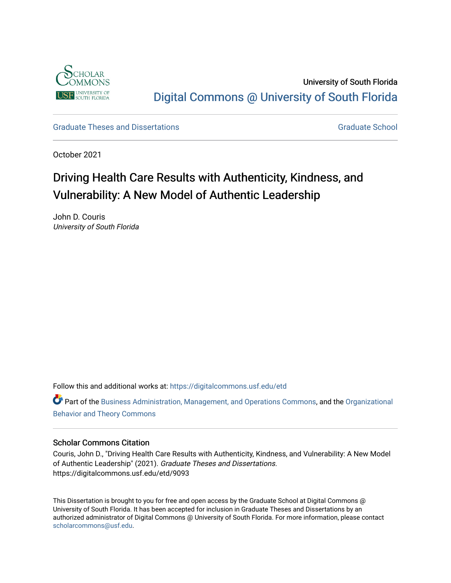

University of South Florida [Digital Commons @ University of South Florida](https://digitalcommons.usf.edu/) 

[Graduate Theses and Dissertations](https://digitalcommons.usf.edu/etd) [Graduate School](https://digitalcommons.usf.edu/grad) Craduate School Craduate School

October 2021

# Driving Health Care Results with Authenticity, Kindness, and Vulnerability: A New Model of Authentic Leadership

John D. Couris University of South Florida

Follow this and additional works at: [https://digitalcommons.usf.edu/etd](https://digitalcommons.usf.edu/etd?utm_source=digitalcommons.usf.edu%2Fetd%2F9093&utm_medium=PDF&utm_campaign=PDFCoverPages) 

Part of the [Business Administration, Management, and Operations Commons](http://network.bepress.com/hgg/discipline/623?utm_source=digitalcommons.usf.edu%2Fetd%2F9093&utm_medium=PDF&utm_campaign=PDFCoverPages), and the [Organizational](http://network.bepress.com/hgg/discipline/639?utm_source=digitalcommons.usf.edu%2Fetd%2F9093&utm_medium=PDF&utm_campaign=PDFCoverPages)  [Behavior and Theory Commons](http://network.bepress.com/hgg/discipline/639?utm_source=digitalcommons.usf.edu%2Fetd%2F9093&utm_medium=PDF&utm_campaign=PDFCoverPages) 

# Scholar Commons Citation

Couris, John D., "Driving Health Care Results with Authenticity, Kindness, and Vulnerability: A New Model of Authentic Leadership" (2021). Graduate Theses and Dissertations. https://digitalcommons.usf.edu/etd/9093

This Dissertation is brought to you for free and open access by the Graduate School at Digital Commons @ University of South Florida. It has been accepted for inclusion in Graduate Theses and Dissertations by an authorized administrator of Digital Commons @ University of South Florida. For more information, please contact [scholarcommons@usf.edu.](mailto:scholarcommons@usf.edu)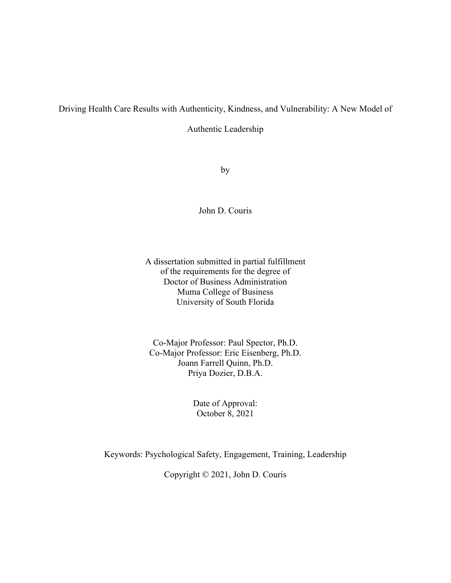# Driving Health Care Results with Authenticity, Kindness, and Vulnerability: A New Model of

Authentic Leadership

by

John D. Couris

A dissertation submitted in partial fulfillment of the requirements for the degree of Doctor of Business Administration Muma College of Business University of South Florida

Co-Major Professor: Paul Spector, Ph.D. Co-Major Professor: Eric Eisenberg, Ph.D. Joann Farrell Quinn, Ph.D. Priya Dozier, D.B.A.

> Date of Approval: October 8, 2021

Keywords: Psychological Safety, Engagement, Training, Leadership

Copyright © 2021, John D. Couris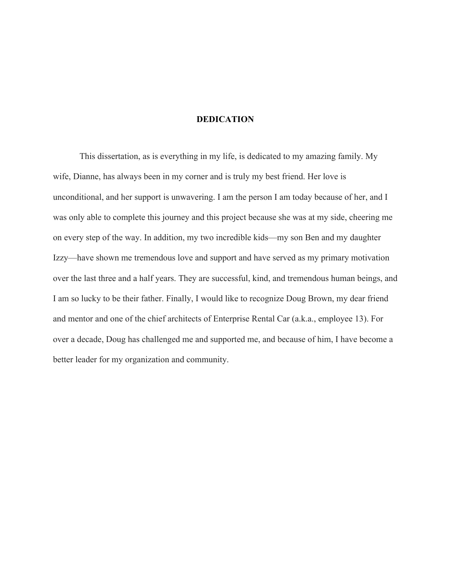# **DEDICATION**

This dissertation, as is everything in my life, is dedicated to my amazing family. My wife, Dianne, has always been in my corner and is truly my best friend. Her love is unconditional, and her support is unwavering. I am the person I am today because of her, and I was only able to complete this journey and this project because she was at my side, cheering me on every step of the way. In addition, my two incredible kids—my son Ben and my daughter Izzy—have shown me tremendous love and support and have served as my primary motivation over the last three and a half years. They are successful, kind, and tremendous human beings, and I am so lucky to be their father. Finally, I would like to recognize Doug Brown, my dear friend and mentor and one of the chief architects of Enterprise Rental Car (a.k.a., employee 13). For over a decade, Doug has challenged me and supported me, and because of him, I have become a better leader for my organization and community.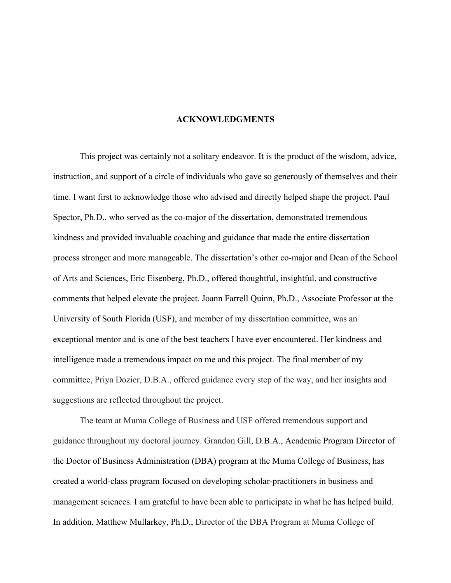# **ACKNOWLEDGMENTS**

This project was certainly not a solitary endeavor. It is the product of the wisdom, advice, instruction, and support of a circle of individuals who gave so generously of themselves and their time. I want first to acknowledge those who advised and directly helped shape the project. Paul Spector, Ph.D., who served as the co-major of the dissertation, demonstrated tremendous kindness and provided invaluable coaching and guidance that made the entire dissertation process stronger and more manageable. The dissertation's other co-major and Dean of the School of Arts and Sciences, Eric Eisenberg, Ph.D., offered thoughtful, insightful, and constructive comments that helped elevate the project. Joann Farrell Quinn, Ph.D., Associate Professor at the University of South Florida (USF), and member of my dissertation committee, was an exceptional mentor and is one of the best teachers I have ever encountered. Her kindness and intelligence made a tremendous impact on me and this project. The final member of my committee, Priya Dozier, D.B.A., offered guidance every step of the way, and her insights and suggestions are reflected throughout the project.

The team at Muma College of Business and USF offered tremendous support and guidance throughout my doctoral journey. Grandon Gill, D.B.A., Academic Program Director of the Doctor of Business Administration (DBA) program at the Muma College of Business, has created a world-class program focused on developing scholar-practitioners in business and management sciences. I am grateful to have been able to participate in what he has helped build. In addition, Matthew Mullarkey, Ph.D., Director of the DBA Program at Muma College of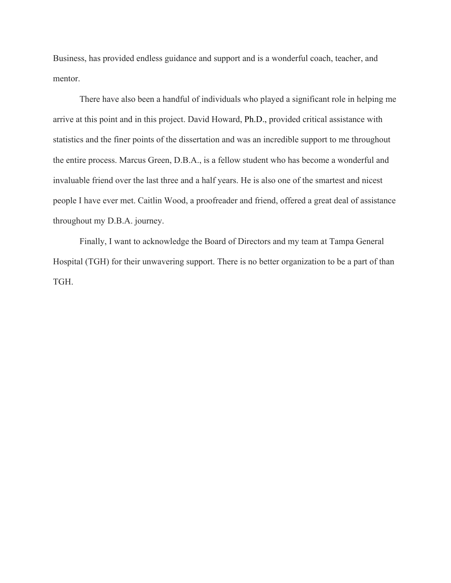Business, has provided endless guidance and support and is a wonderful coach, teacher, and mentor.

There have also been a handful of individuals who played a significant role in helping me arrive at this point and in this project. David Howard, Ph.D., provided critical assistance with statistics and the finer points of the dissertation and was an incredible support to me throughout the entire process. Marcus Green, D.B.A., is a fellow student who has become a wonderful and invaluable friend over the last three and a half years. He is also one of the smartest and nicest people I have ever met. Caitlin Wood, a proofreader and friend, offered a great deal of assistance throughout my D.B.A. journey.

Finally, I want to acknowledge the Board of Directors and my team at Tampa General Hospital (TGH) for their unwavering support. There is no better organization to be a part of than TGH.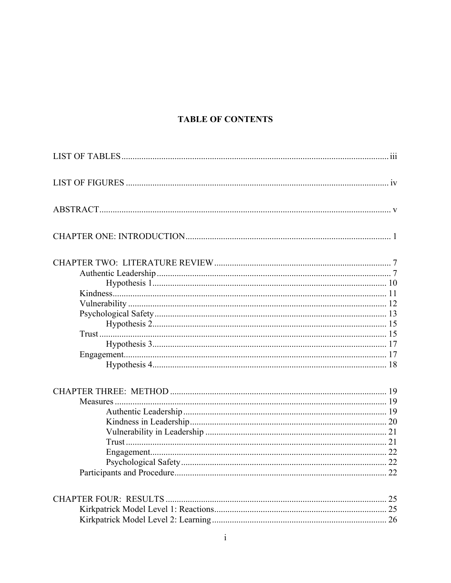# **TABLE OF CONTENTS**

| $\mathbf{i}$ |  |
|--------------|--|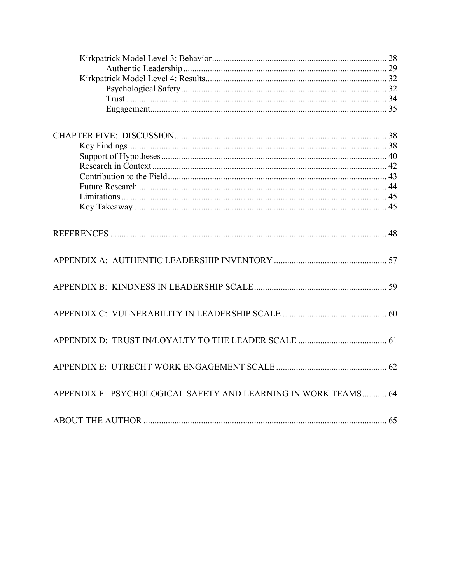| APPENDIX F: PSYCHOLOGICAL SAFETY AND LEARNING IN WORK TEAMS 64 |  |
|----------------------------------------------------------------|--|
|                                                                |  |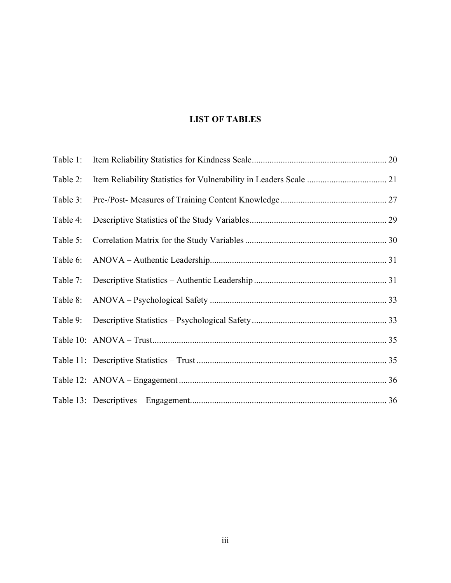# **LIST OF TABLES**

| Table 1: |  |
|----------|--|
| Table 2: |  |
| Table 3: |  |
| Table 4: |  |
| Table 5: |  |
| Table 6: |  |
| Table 7: |  |
| Table 8: |  |
| Table 9: |  |
|          |  |
|          |  |
|          |  |
|          |  |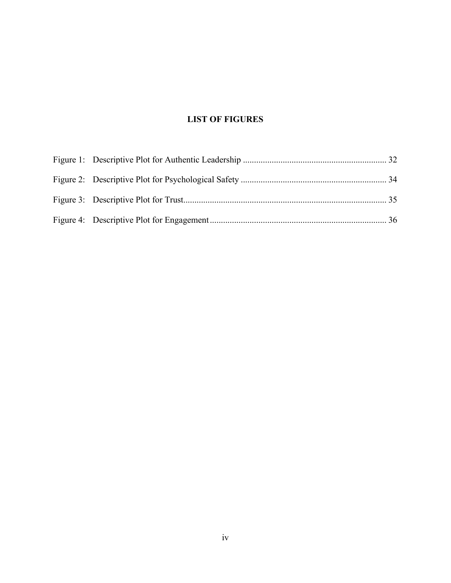# **LIST OF FIGURES**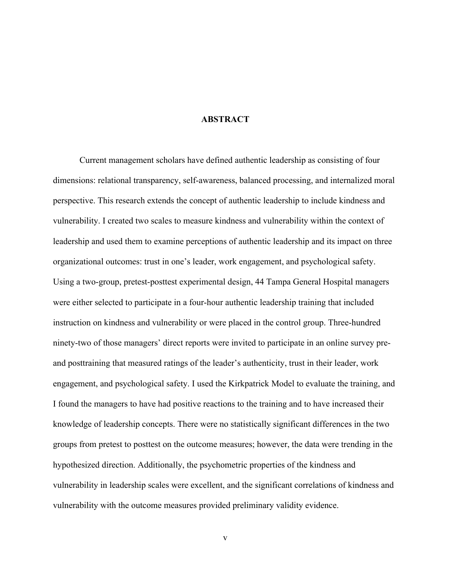# **ABSTRACT**

Current management scholars have defined authentic leadership as consisting of four dimensions: relational transparency, self-awareness, balanced processing, and internalized moral perspective. This research extends the concept of authentic leadership to include kindness and vulnerability. I created two scales to measure kindness and vulnerability within the context of leadership and used them to examine perceptions of authentic leadership and its impact on three organizational outcomes: trust in one's leader, work engagement, and psychological safety. Using a two-group, pretest-posttest experimental design, 44 Tampa General Hospital managers were either selected to participate in a four-hour authentic leadership training that included instruction on kindness and vulnerability or were placed in the control group. Three-hundred ninety-two of those managers' direct reports were invited to participate in an online survey preand posttraining that measured ratings of the leader's authenticity, trust in their leader, work engagement, and psychological safety. I used the Kirkpatrick Model to evaluate the training, and I found the managers to have had positive reactions to the training and to have increased their knowledge of leadership concepts. There were no statistically significant differences in the two groups from pretest to posttest on the outcome measures; however, the data were trending in the hypothesized direction. Additionally, the psychometric properties of the kindness and vulnerability in leadership scales were excellent, and the significant correlations of kindness and vulnerability with the outcome measures provided preliminary validity evidence.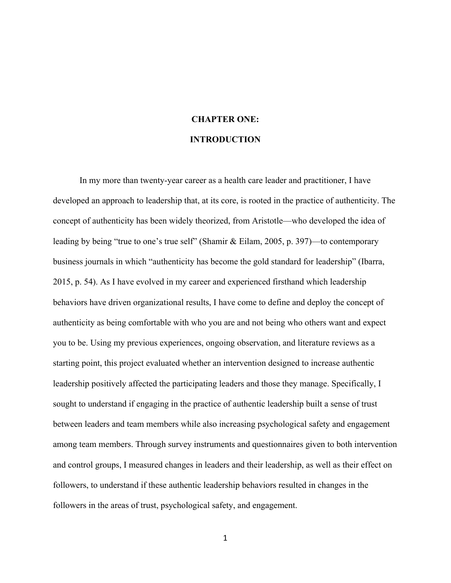# **CHAPTER ONE: INTRODUCTION**

In my more than twenty-year career as a health care leader and practitioner, I have developed an approach to leadership that, at its core, is rooted in the practice of authenticity. The concept of authenticity has been widely theorized, from Aristotle—who developed the idea of leading by being "true to one's true self" (Shamir & Eilam, 2005, p. 397)—to contemporary business journals in which "authenticity has become the gold standard for leadership" (Ibarra, 2015, p. 54). As I have evolved in my career and experienced firsthand which leadership behaviors have driven organizational results, I have come to define and deploy the concept of authenticity as being comfortable with who you are and not being who others want and expect you to be. Using my previous experiences, ongoing observation, and literature reviews as a starting point, this project evaluated whether an intervention designed to increase authentic leadership positively affected the participating leaders and those they manage. Specifically, I sought to understand if engaging in the practice of authentic leadership built a sense of trust between leaders and team members while also increasing psychological safety and engagement among team members. Through survey instruments and questionnaires given to both intervention and control groups, I measured changes in leaders and their leadership, as well as their effect on followers, to understand if these authentic leadership behaviors resulted in changes in the followers in the areas of trust, psychological safety, and engagement.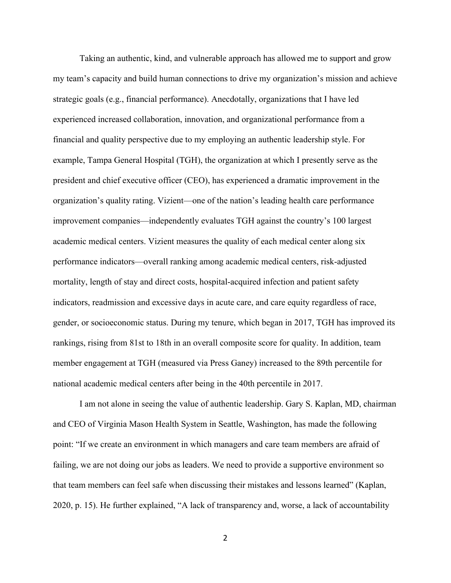Taking an authentic, kind, and vulnerable approach has allowed me to support and grow my team's capacity and build human connections to drive my organization's mission and achieve strategic goals (e.g., financial performance). Anecdotally, organizations that I have led experienced increased collaboration, innovation, and organizational performance from a financial and quality perspective due to my employing an authentic leadership style. For example, Tampa General Hospital (TGH), the organization at which I presently serve as the president and chief executive officer (CEO), has experienced a dramatic improvement in the organization's quality rating. Vizient—one of the nation's leading health care performance improvement companies—independently evaluates TGH against the country's 100 largest academic medical centers. Vizient measures the quality of each medical center along six performance indicators—overall ranking among academic medical centers, risk-adjusted mortality, length of stay and direct costs, hospital-acquired infection and patient safety indicators, readmission and excessive days in acute care, and care equity regardless of race, gender, or socioeconomic status. During my tenure, which began in 2017, TGH has improved its rankings, rising from 81st to 18th in an overall composite score for quality. In addition, team member engagement at TGH (measured via Press Ganey) increased to the 89th percentile for national academic medical centers after being in the 40th percentile in 2017.

I am not alone in seeing the value of authentic leadership. Gary S. Kaplan, MD, chairman and CEO of Virginia Mason Health System in Seattle, Washington, has made the following point: "If we create an environment in which managers and care team members are afraid of failing, we are not doing our jobs as leaders. We need to provide a supportive environment so that team members can feel safe when discussing their mistakes and lessons learned" (Kaplan, 2020, p. 15). He further explained, "A lack of transparency and, worse, a lack of accountability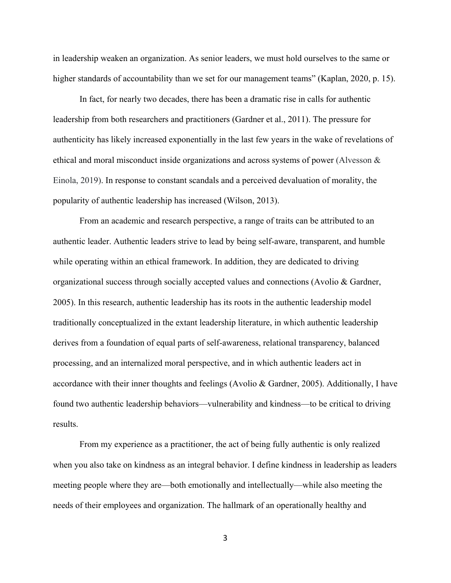in leadership weaken an organization. As senior leaders, we must hold ourselves to the same or higher standards of accountability than we set for our management teams" (Kaplan, 2020, p. 15).

In fact, for nearly two decades, there has been a dramatic rise in calls for authentic leadership from both researchers and practitioners (Gardner et al., 2011). The pressure for authenticity has likely increased exponentially in the last few years in the wake of revelations of ethical and moral misconduct inside organizations and across systems of power (Alvesson & Einola, 2019). In response to constant scandals and a perceived devaluation of morality, the popularity of authentic leadership has increased (Wilson, 2013).

From an academic and research perspective, a range of traits can be attributed to an authentic leader. Authentic leaders strive to lead by being self-aware, transparent, and humble while operating within an ethical framework. In addition, they are dedicated to driving organizational success through socially accepted values and connections (Avolio & Gardner, 2005). In this research, authentic leadership has its roots in the authentic leadership model traditionally conceptualized in the extant leadership literature, in which authentic leadership derives from a foundation of equal parts of self-awareness, relational transparency, balanced processing, and an internalized moral perspective, and in which authentic leaders act in accordance with their inner thoughts and feelings (Avolio & Gardner, 2005). Additionally, I have found two authentic leadership behaviors—vulnerability and kindness—to be critical to driving results.

From my experience as a practitioner, the act of being fully authentic is only realized when you also take on kindness as an integral behavior. I define kindness in leadership as leaders meeting people where they are—both emotionally and intellectually—while also meeting the needs of their employees and organization. The hallmark of an operationally healthy and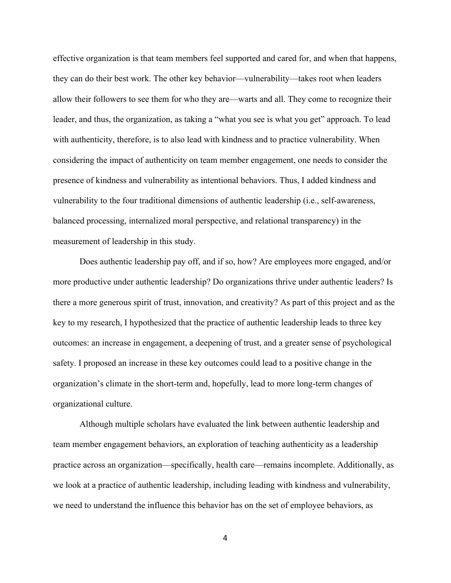effective organization is that team members feel supported and cared for, and when that happens, they can do their best work. The other key behavior—vulnerability—takes root when leaders allow their followers to see them for who they are—warts and all. They come to recognize their leader, and thus, the organization, as taking a "what you see is what you get" approach. To lead with authenticity, therefore, is to also lead with kindness and to practice vulnerability. When considering the impact of authenticity on team member engagement, one needs to consider the presence of kindness and vulnerability as intentional behaviors. Thus, I added kindness and vulnerability to the four traditional dimensions of authentic leadership (i.e., self-awareness, balanced processing, internalized moral perspective, and relational transparency) in the measurement of leadership in this study.

Does authentic leadership pay off, and if so, how? Are employees more engaged, and/or more productive under authentic leadership? Do organizations thrive under authentic leaders? Is there a more generous spirit of trust, innovation, and creativity? As part of this project and as the key to my research, I hypothesized that the practice of authentic leadership leads to three key outcomes: an increase in engagement, a deepening of trust, and a greater sense of psychological safety. I proposed an increase in these key outcomes could lead to a positive change in the organization's climate in the short-term and, hopefully, lead to more long-term changes of organizational culture.

Although multiple scholars have evaluated the link between authentic leadership and team member engagement behaviors, an exploration of teaching authenticity as a leadership practice across an organization—specifically, health care—remains incomplete. Additionally, as we look at a practice of authentic leadership, including leading with kindness and vulnerability, we need to understand the influence this behavior has on the set of employee behaviors, as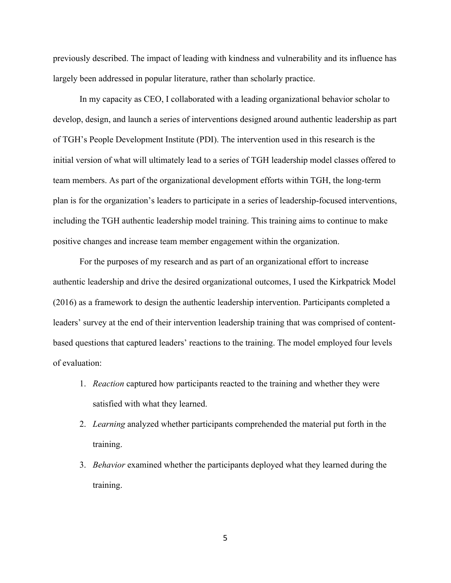previously described. The impact of leading with kindness and vulnerability and its influence has largely been addressed in popular literature, rather than scholarly practice.

In my capacity as CEO, I collaborated with a leading organizational behavior scholar to develop, design, and launch a series of interventions designed around authentic leadership as part of TGH's People Development Institute (PDI). The intervention used in this research is the initial version of what will ultimately lead to a series of TGH leadership model classes offered to team members. As part of the organizational development efforts within TGH, the long-term plan is for the organization's leaders to participate in a series of leadership-focused interventions, including the TGH authentic leadership model training. This training aims to continue to make positive changes and increase team member engagement within the organization.

For the purposes of my research and as part of an organizational effort to increase authentic leadership and drive the desired organizational outcomes, I used the Kirkpatrick Model (2016) as a framework to design the authentic leadership intervention. Participants completed a leaders' survey at the end of their intervention leadership training that was comprised of contentbased questions that captured leaders' reactions to the training. The model employed four levels of evaluation:

- 1. *Reaction* captured how participants reacted to the training and whether they were satisfied with what they learned.
- 2. *Learning* analyzed whether participants comprehended the material put forth in the training.
- 3. *Behavior* examined whether the participants deployed what they learned during the training.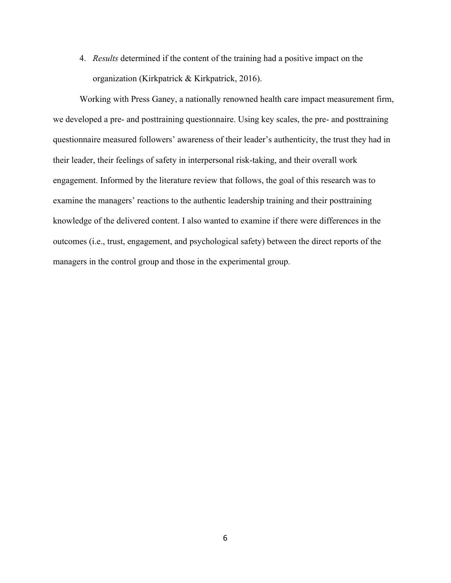4. *Results* determined if the content of the training had a positive impact on the organization (Kirkpatrick & Kirkpatrick, 2016).

Working with Press Ganey, a nationally renowned health care impact measurement firm, we developed a pre- and posttraining questionnaire. Using key scales, the pre- and posttraining questionnaire measured followers' awareness of their leader's authenticity, the trust they had in their leader, their feelings of safety in interpersonal risk-taking, and their overall work engagement. Informed by the literature review that follows, the goal of this research was to examine the managers' reactions to the authentic leadership training and their posttraining knowledge of the delivered content. I also wanted to examine if there were differences in the outcomes (i.e., trust, engagement, and psychological safety) between the direct reports of the managers in the control group and those in the experimental group.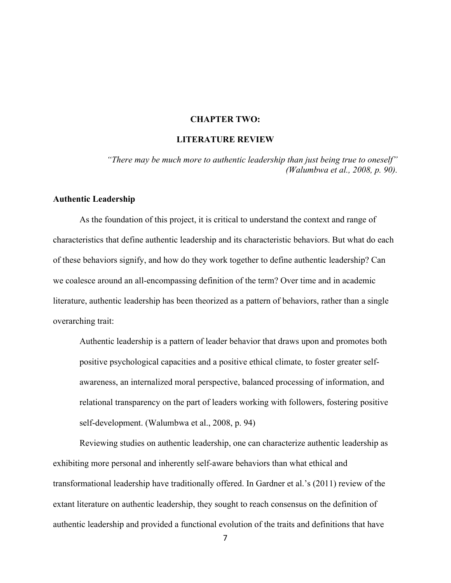## **CHAPTER TWO:**

# **LITERATURE REVIEW**

*"There may be much more to authentic leadership than just being true to oneself" (Walumbwa et al., 2008, p. 90).*

### **Authentic Leadership**

As the foundation of this project, it is critical to understand the context and range of characteristics that define authentic leadership and its characteristic behaviors. But what do each of these behaviors signify, and how do they work together to define authentic leadership? Can we coalesce around an all-encompassing definition of the term? Over time and in academic literature, authentic leadership has been theorized as a pattern of behaviors, rather than a single overarching trait:

Authentic leadership is a pattern of leader behavior that draws upon and promotes both positive psychological capacities and a positive ethical climate, to foster greater selfawareness, an internalized moral perspective, balanced processing of information, and relational transparency on the part of leaders working with followers, fostering positive self-development. (Walumbwa et al., 2008, p. 94)

Reviewing studies on authentic leadership, one can characterize authentic leadership as exhibiting more personal and inherently self-aware behaviors than what ethical and transformational leadership have traditionally offered. In Gardner et al.'s (2011) review of the extant literature on authentic leadership, they sought to reach consensus on the definition of authentic leadership and provided a functional evolution of the traits and definitions that have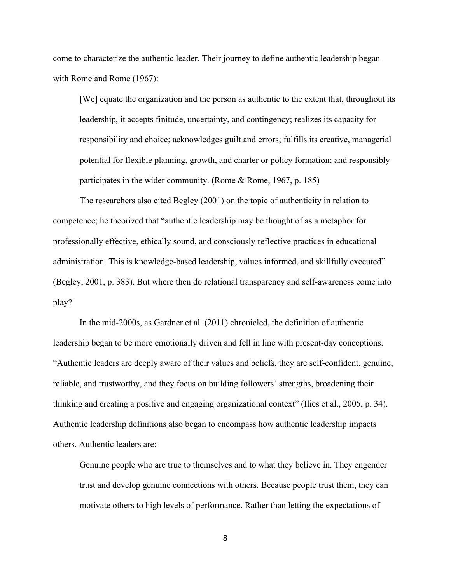come to characterize the authentic leader. Their journey to define authentic leadership began with Rome and Rome (1967):

[We] equate the organization and the person as authentic to the extent that, throughout its leadership, it accepts finitude, uncertainty, and contingency; realizes its capacity for responsibility and choice; acknowledges guilt and errors; fulfills its creative, managerial potential for flexible planning, growth, and charter or policy formation; and responsibly participates in the wider community. (Rome & Rome, 1967, p. 185)

The researchers also cited Begley (2001) on the topic of authenticity in relation to competence; he theorized that "authentic leadership may be thought of as a metaphor for professionally effective, ethically sound, and consciously reflective practices in educational administration. This is knowledge-based leadership, values informed, and skillfully executed" (Begley, 2001, p. 383). But where then do relational transparency and self-awareness come into play?

In the mid-2000s, as Gardner et al. (2011) chronicled, the definition of authentic leadership began to be more emotionally driven and fell in line with present-day conceptions. "Authentic leaders are deeply aware of their values and beliefs, they are self-confident, genuine, reliable, and trustworthy, and they focus on building followers' strengths, broadening their thinking and creating a positive and engaging organizational context" (Ilies et al., 2005, p. 34). Authentic leadership definitions also began to encompass how authentic leadership impacts others. Authentic leaders are:

Genuine people who are true to themselves and to what they believe in. They engender trust and develop genuine connections with others. Because people trust them, they can motivate others to high levels of performance. Rather than letting the expectations of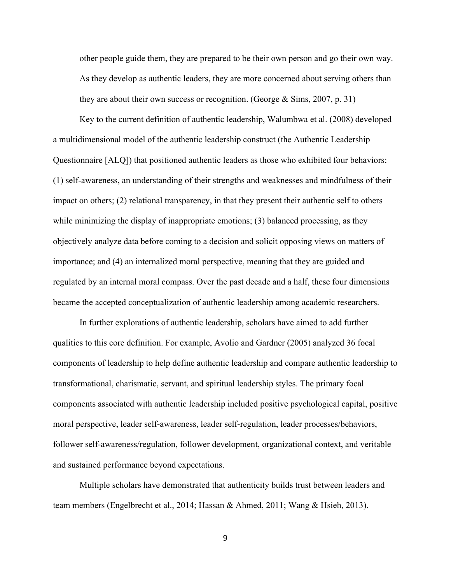other people guide them, they are prepared to be their own person and go their own way. As they develop as authentic leaders, they are more concerned about serving others than they are about their own success or recognition. (George & Sims, 2007, p. 31)

Key to the current definition of authentic leadership, Walumbwa et al. (2008) developed a multidimensional model of the authentic leadership construct (the Authentic Leadership Questionnaire [ALQ]) that positioned authentic leaders as those who exhibited four behaviors: (1) self-awareness, an understanding of their strengths and weaknesses and mindfulness of their impact on others; (2) relational transparency, in that they present their authentic self to others while minimizing the display of inappropriate emotions; (3) balanced processing, as they objectively analyze data before coming to a decision and solicit opposing views on matters of importance; and (4) an internalized moral perspective, meaning that they are guided and regulated by an internal moral compass. Over the past decade and a half, these four dimensions became the accepted conceptualization of authentic leadership among academic researchers.

In further explorations of authentic leadership, scholars have aimed to add further qualities to this core definition. For example, Avolio and Gardner (2005) analyzed 36 focal components of leadership to help define authentic leadership and compare authentic leadership to transformational, charismatic, servant, and spiritual leadership styles. The primary focal components associated with authentic leadership included positive psychological capital, positive moral perspective, leader self-awareness, leader self-regulation, leader processes/behaviors, follower self-awareness/regulation, follower development, organizational context, and veritable and sustained performance beyond expectations.

Multiple scholars have demonstrated that authenticity builds trust between leaders and team members (Engelbrecht et al., 2014; Hassan & Ahmed, 2011; Wang & Hsieh, 2013).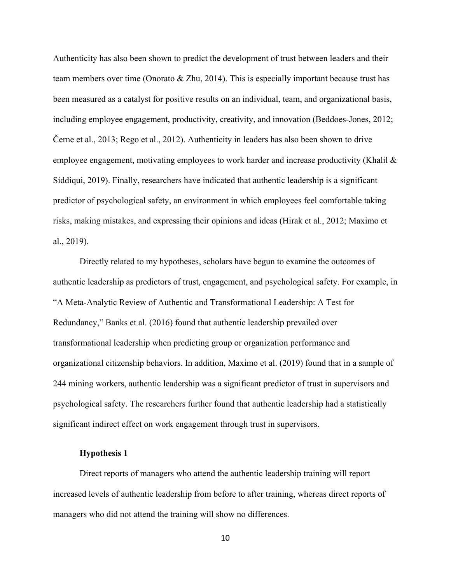Authenticity has also been shown to predict the development of trust between leaders and their team members over time (Onorato & Zhu, 2014). This is especially important because trust has been measured as a catalyst for positive results on an individual, team, and organizational basis, including employee engagement, productivity, creativity, and innovation (Beddoes-Jones, 2012; Černe et al., 2013; Rego et al., 2012). Authenticity in leaders has also been shown to drive employee engagement, motivating employees to work harder and increase productivity (Khalil & Siddiqui, 2019). Finally, researchers have indicated that authentic leadership is a significant predictor of psychological safety, an environment in which employees feel comfortable taking risks, making mistakes, and expressing their opinions and ideas (Hirak et al., 2012; Maximo et al., 2019).

Directly related to my hypotheses, scholars have begun to examine the outcomes of authentic leadership as predictors of trust, engagement, and psychological safety. For example, in "A Meta-Analytic Review of Authentic and Transformational Leadership: A Test for Redundancy," Banks et al. (2016) found that authentic leadership prevailed over transformational leadership when predicting group or organization performance and organizational citizenship behaviors. In addition, Maximo et al. (2019) found that in a sample of 244 mining workers, authentic leadership was a significant predictor of trust in supervisors and psychological safety. The researchers further found that authentic leadership had a statistically significant indirect effect on work engagement through trust in supervisors.

# **Hypothesis 1**

Direct reports of managers who attend the authentic leadership training will report increased levels of authentic leadership from before to after training, whereas direct reports of managers who did not attend the training will show no differences.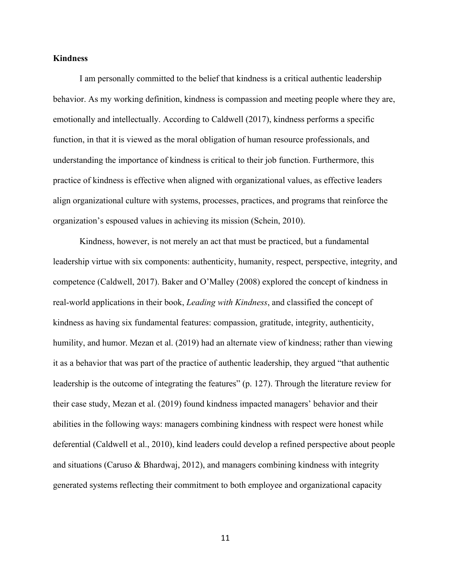# **Kindness**

I am personally committed to the belief that kindness is a critical authentic leadership behavior. As my working definition, kindness is compassion and meeting people where they are, emotionally and intellectually. According to Caldwell (2017), kindness performs a specific function, in that it is viewed as the moral obligation of human resource professionals, and understanding the importance of kindness is critical to their job function. Furthermore, this practice of kindness is effective when aligned with organizational values, as effective leaders align organizational culture with systems, processes, practices, and programs that reinforce the organization's espoused values in achieving its mission (Schein, 2010).

Kindness, however, is not merely an act that must be practiced, but a fundamental leadership virtue with six components: authenticity, humanity, respect, perspective, integrity, and competence (Caldwell, 2017). Baker and O'Malley (2008) explored the concept of kindness in real-world applications in their book, *Leading with Kindness*, and classified the concept of kindness as having six fundamental features: compassion, gratitude, integrity, authenticity, humility, and humor. Mezan et al. (2019) had an alternate view of kindness; rather than viewing it as a behavior that was part of the practice of authentic leadership, they argued "that authentic leadership is the outcome of integrating the features" (p. 127). Through the literature review for their case study, Mezan et al. (2019) found kindness impacted managers' behavior and their abilities in the following ways: managers combining kindness with respect were honest while deferential (Caldwell et al., 2010), kind leaders could develop a refined perspective about people and situations (Caruso & Bhardwaj, 2012), and managers combining kindness with integrity generated systems reflecting their commitment to both employee and organizational capacity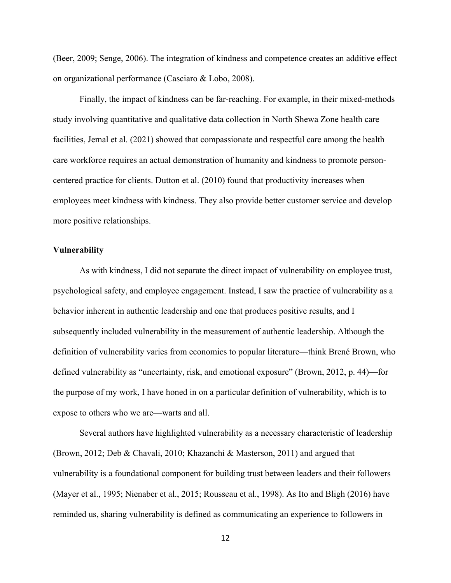(Beer, 2009; Senge, 2006). The integration of kindness and competence creates an additive effect on organizational performance (Casciaro & Lobo, 2008).

Finally, the impact of kindness can be far-reaching. For example, in their mixed-methods study involving quantitative and qualitative data collection in North Shewa Zone health care facilities, Jemal et al. (2021) showed that compassionate and respectful care among the health care workforce requires an actual demonstration of humanity and kindness to promote personcentered practice for clients. Dutton et al. (2010) found that productivity increases when employees meet kindness with kindness. They also provide better customer service and develop more positive relationships.

#### **Vulnerability**

As with kindness, I did not separate the direct impact of vulnerability on employee trust, psychological safety, and employee engagement. Instead, I saw the practice of vulnerability as a behavior inherent in authentic leadership and one that produces positive results, and I subsequently included vulnerability in the measurement of authentic leadership. Although the definition of vulnerability varies from economics to popular literature—think Brené Brown, who defined vulnerability as "uncertainty, risk, and emotional exposure" (Brown, 2012, p. 44)—for the purpose of my work, I have honed in on a particular definition of vulnerability, which is to expose to others who we are—warts and all.

Several authors have highlighted vulnerability as a necessary characteristic of leadership (Brown, 2012; Deb & Chavali, 2010; Khazanchi & Masterson, 2011) and argued that vulnerability is a foundational component for building trust between leaders and their followers (Mayer et al., 1995; Nienaber et al., 2015; Rousseau et al., 1998). As Ito and Bligh (2016) have reminded us, sharing vulnerability is defined as communicating an experience to followers in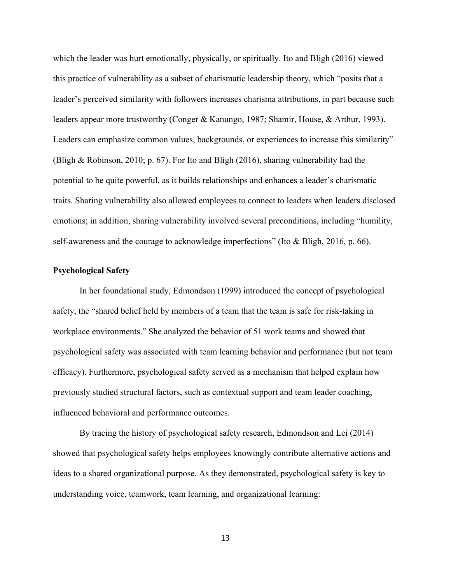which the leader was hurt emotionally, physically, or spiritually. Ito and Bligh (2016) viewed this practice of vulnerability as a subset of charismatic leadership theory, which "posits that a leader's perceived similarity with followers increases charisma attributions, in part because such leaders appear more trustworthy (Conger & Kanungo, 1987; Shamir, House, & Arthur, 1993). Leaders can emphasize common values, backgrounds, or experiences to increase this similarity" (Bligh & Robinson, 2010; p. 67). For Ito and Bligh (2016), sharing vulnerability had the potential to be quite powerful, as it builds relationships and enhances a leader's charismatic traits. Sharing vulnerability also allowed employees to connect to leaders when leaders disclosed emotions; in addition, sharing vulnerability involved several preconditions, including "humility, self-awareness and the courage to acknowledge imperfections" (Ito & Bligh, 2016, p. 66).

#### **Psychological Safety**

In her foundational study, Edmondson (1999) introduced the concept of psychological safety, the "shared belief held by members of a team that the team is safe for risk-taking in workplace environments." She analyzed the behavior of 51 work teams and showed that psychological safety was associated with team learning behavior and performance (but not team efficacy). Furthermore, psychological safety served as a mechanism that helped explain how previously studied structural factors, such as contextual support and team leader coaching, influenced behavioral and performance outcomes.

By tracing the history of psychological safety research, Edmondson and Lei (2014) showed that psychological safety helps employees knowingly contribute alternative actions and ideas to a shared organizational purpose. As they demonstrated, psychological safety is key to understanding voice, teamwork, team learning, and organizational learning: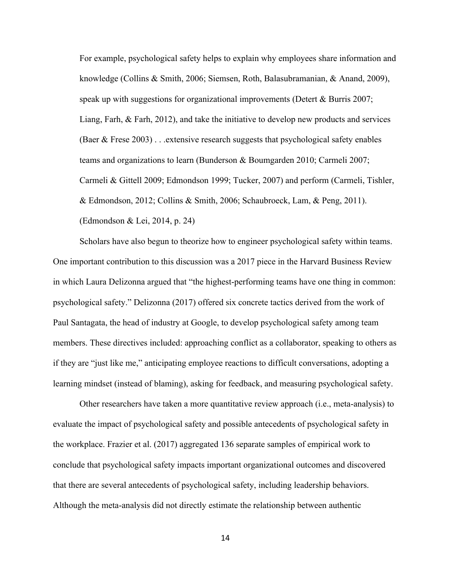For example, psychological safety helps to explain why employees share information and knowledge (Collins & Smith, 2006; Siemsen, Roth, Balasubramanian, & Anand, 2009), speak up with suggestions for organizational improvements (Detert & Burris 2007; Liang, Farh, & Farh, 2012), and take the initiative to develop new products and services (Baer & Frese 2003) . . .extensive research suggests that psychological safety enables teams and organizations to learn (Bunderson & Boumgarden 2010; Carmeli 2007; Carmeli & Gittell 2009; Edmondson 1999; Tucker, 2007) and perform (Carmeli, Tishler, & Edmondson, 2012; Collins & Smith, 2006; Schaubroeck, Lam, & Peng, 2011). (Edmondson & Lei, 2014, p. 24)

Scholars have also begun to theorize how to engineer psychological safety within teams. One important contribution to this discussion was a 2017 piece in the Harvard Business Review in which Laura Delizonna argued that "the highest-performing teams have one thing in common: psychological safety." Delizonna (2017) offered six concrete tactics derived from the work of Paul Santagata, the head of industry at Google, to develop psychological safety among team members. These directives included: approaching conflict as a collaborator, speaking to others as if they are "just like me," anticipating employee reactions to difficult conversations, adopting a learning mindset (instead of blaming), asking for feedback, and measuring psychological safety.

Other researchers have taken a more quantitative review approach (i.e., meta-analysis) to evaluate the impact of psychological safety and possible antecedents of psychological safety in the workplace. Frazier et al. (2017) aggregated 136 separate samples of empirical work to conclude that psychological safety impacts important organizational outcomes and discovered that there are several antecedents of psychological safety, including leadership behaviors. Although the meta-analysis did not directly estimate the relationship between authentic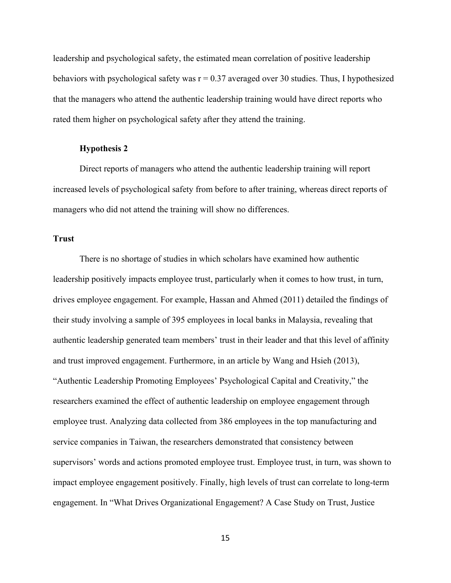leadership and psychological safety, the estimated mean correlation of positive leadership behaviors with psychological safety was  $r = 0.37$  averaged over 30 studies. Thus, I hypothesized that the managers who attend the authentic leadership training would have direct reports who rated them higher on psychological safety after they attend the training.

### **Hypothesis 2**

Direct reports of managers who attend the authentic leadership training will report increased levels of psychological safety from before to after training, whereas direct reports of managers who did not attend the training will show no differences.

# **Trust**

There is no shortage of studies in which scholars have examined how authentic leadership positively impacts employee trust, particularly when it comes to how trust, in turn, drives employee engagement. For example, Hassan and Ahmed (2011) detailed the findings of their study involving a sample of 395 employees in local banks in Malaysia, revealing that authentic leadership generated team members' trust in their leader and that this level of affinity and trust improved engagement. Furthermore, in an article by Wang and Hsieh (2013), "Authentic Leadership Promoting Employees' Psychological Capital and Creativity," the researchers examined the effect of authentic leadership on employee engagement through employee trust. Analyzing data collected from 386 employees in the top manufacturing and service companies in Taiwan, the researchers demonstrated that consistency between supervisors' words and actions promoted employee trust. Employee trust, in turn, was shown to impact employee engagement positively. Finally, high levels of trust can correlate to long-term engagement. In "What Drives Organizational Engagement? A Case Study on Trust, Justice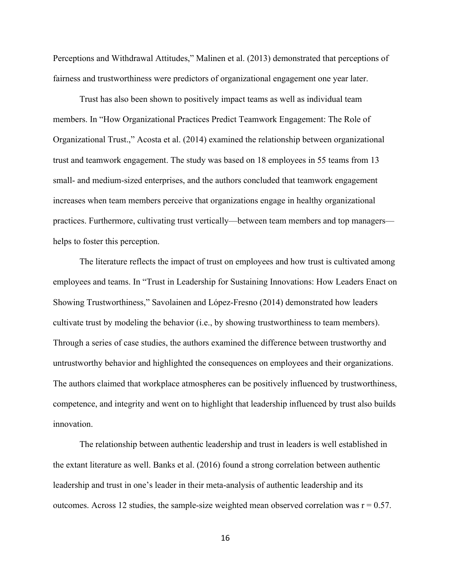Perceptions and Withdrawal Attitudes," Malinen et al. (2013) demonstrated that perceptions of fairness and trustworthiness were predictors of organizational engagement one year later.

Trust has also been shown to positively impact teams as well as individual team members. In "How Organizational Practices Predict Teamwork Engagement: The Role of Organizational Trust.," Acosta et al. (2014) examined the relationship between organizational trust and teamwork engagement. The study was based on 18 employees in 55 teams from 13 small- and medium-sized enterprises, and the authors concluded that teamwork engagement increases when team members perceive that organizations engage in healthy organizational practices. Furthermore, cultivating trust vertically—between team members and top managers helps to foster this perception.

The literature reflects the impact of trust on employees and how trust is cultivated among employees and teams. In "Trust in Leadership for Sustaining Innovations: How Leaders Enact on Showing Trustworthiness," Savolainen and López-Fresno (2014) demonstrated how leaders cultivate trust by modeling the behavior (i.e., by showing trustworthiness to team members). Through a series of case studies, the authors examined the difference between trustworthy and untrustworthy behavior and highlighted the consequences on employees and their organizations. The authors claimed that workplace atmospheres can be positively influenced by trustworthiness, competence, and integrity and went on to highlight that leadership influenced by trust also builds innovation.

The relationship between authentic leadership and trust in leaders is well established in the extant literature as well. Banks et al. (2016) found a strong correlation between authentic leadership and trust in one's leader in their meta-analysis of authentic leadership and its outcomes. Across 12 studies, the sample-size weighted mean observed correlation was  $r = 0.57$ .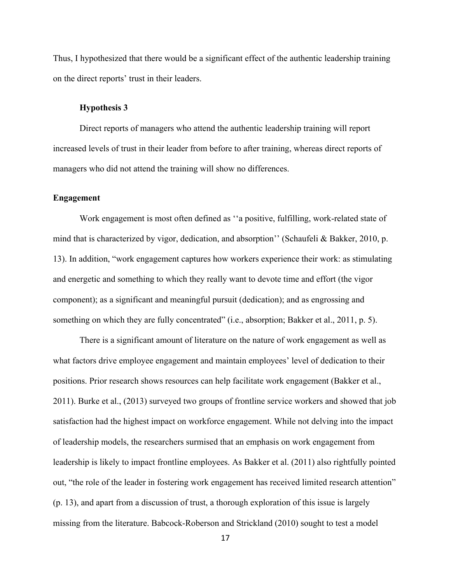Thus, I hypothesized that there would be a significant effect of the authentic leadership training on the direct reports' trust in their leaders.

# **Hypothesis 3**

Direct reports of managers who attend the authentic leadership training will report increased levels of trust in their leader from before to after training, whereas direct reports of managers who did not attend the training will show no differences.

# **Engagement**

Work engagement is most often defined as ''a positive, fulfilling, work-related state of mind that is characterized by vigor, dedication, and absorption'' (Schaufeli & Bakker, 2010, p. 13). In addition, "work engagement captures how workers experience their work: as stimulating and energetic and something to which they really want to devote time and effort (the vigor component); as a significant and meaningful pursuit (dedication); and as engrossing and something on which they are fully concentrated" (i.e., absorption; Bakker et al., 2011, p. 5).

There is a significant amount of literature on the nature of work engagement as well as what factors drive employee engagement and maintain employees' level of dedication to their positions. Prior research shows resources can help facilitate work engagement (Bakker et al., 2011). Burke et al., (2013) surveyed two groups of frontline service workers and showed that job satisfaction had the highest impact on workforce engagement. While not delving into the impact of leadership models, the researchers surmised that an emphasis on work engagement from leadership is likely to impact frontline employees. As Bakker et al. (2011) also rightfully pointed out, "the role of the leader in fostering work engagement has received limited research attention" (p. 13), and apart from a discussion of trust, a thorough exploration of this issue is largely missing from the literature. Babcock-Roberson and Strickland (2010) sought to test a model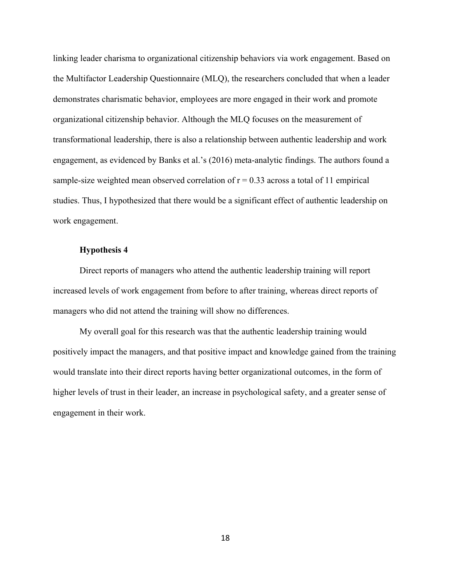linking leader charisma to organizational citizenship behaviors via work engagement. Based on the Multifactor Leadership Questionnaire (MLQ), the researchers concluded that when a leader demonstrates charismatic behavior, employees are more engaged in their work and promote organizational citizenship behavior. Although the MLQ focuses on the measurement of transformational leadership, there is also a relationship between authentic leadership and work engagement, as evidenced by Banks et al.'s (2016) meta-analytic findings. The authors found a sample-size weighted mean observed correlation of  $r = 0.33$  across a total of 11 empirical studies. Thus, I hypothesized that there would be a significant effect of authentic leadership on work engagement.

# **Hypothesis 4**

Direct reports of managers who attend the authentic leadership training will report increased levels of work engagement from before to after training, whereas direct reports of managers who did not attend the training will show no differences.

My overall goal for this research was that the authentic leadership training would positively impact the managers, and that positive impact and knowledge gained from the training would translate into their direct reports having better organizational outcomes, in the form of higher levels of trust in their leader, an increase in psychological safety, and a greater sense of engagement in their work.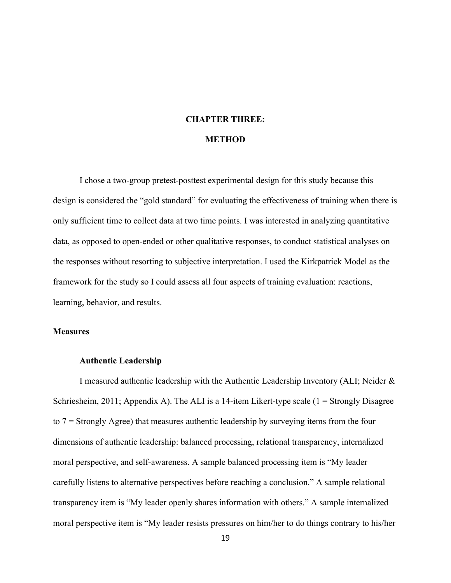# **CHAPTER THREE:**

# **METHOD**

I chose a two-group pretest-posttest experimental design for this study because this design is considered the "gold standard" for evaluating the effectiveness of training when there is only sufficient time to collect data at two time points. I was interested in analyzing quantitative data, as opposed to open-ended or other qualitative responses, to conduct statistical analyses on the responses without resorting to subjective interpretation. I used the Kirkpatrick Model as the framework for the study so I could assess all four aspects of training evaluation: reactions, learning, behavior, and results.

# **Measures**

#### **Authentic Leadership**

I measured authentic leadership with the Authentic Leadership Inventory (ALI; Neider & Schriesheim, 2011; Appendix A). The ALI is a 14-item Likert-type scale  $(1 =$  Strongly Disagree to 7 = Strongly Agree) that measures authentic leadership by surveying items from the four dimensions of authentic leadership: balanced processing, relational transparency, internalized moral perspective, and self-awareness. A sample balanced processing item is "My leader carefully listens to alternative perspectives before reaching a conclusion." A sample relational transparency item is "My leader openly shares information with others." A sample internalized moral perspective item is "My leader resists pressures on him/her to do things contrary to his/her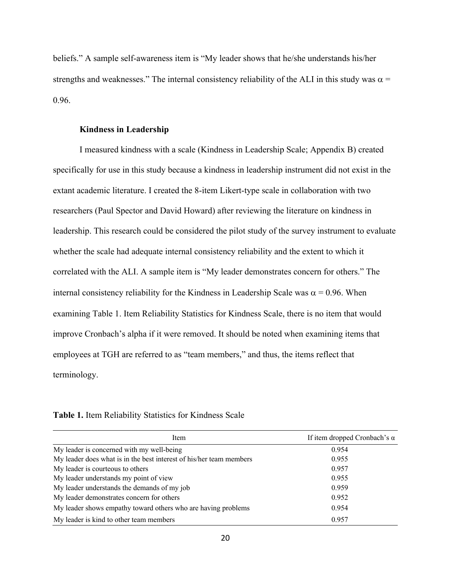beliefs." A sample self-awareness item is "My leader shows that he/she understands his/her strengths and weaknesses." The internal consistency reliability of the ALI in this study was  $\alpha$  = 0.96.

# **Kindness in Leadership**

I measured kindness with a scale (Kindness in Leadership Scale; Appendix B) created specifically for use in this study because a kindness in leadership instrument did not exist in the extant academic literature. I created the 8-item Likert-type scale in collaboration with two researchers (Paul Spector and David Howard) after reviewing the literature on kindness in leadership. This research could be considered the pilot study of the survey instrument to evaluate whether the scale had adequate internal consistency reliability and the extent to which it correlated with the ALI. A sample item is "My leader demonstrates concern for others." The internal consistency reliability for the Kindness in Leadership Scale was  $\alpha$  = 0.96. When examining Table 1. Item Reliability Statistics for Kindness Scale, there is no item that would improve Cronbach's alpha if it were removed. It should be noted when examining items that employees at TGH are referred to as "team members," and thus, the items reflect that terminology.

| Table 1. Item Reliability Statistics for Kindness Scale |  |  |  |
|---------------------------------------------------------|--|--|--|

| Item                                                                | If item dropped Cronbach's $\alpha$ |
|---------------------------------------------------------------------|-------------------------------------|
| My leader is concerned with my well-being                           | 0.954                               |
| My leader does what is in the best interest of his/her team members | 0.955                               |
| My leader is courteous to others                                    | 0.957                               |
| My leader understands my point of view                              | 0.955                               |
| My leader understands the demands of my job                         | 0.959                               |
| My leader demonstrates concern for others                           | 0.952                               |
| My leader shows empathy toward others who are having problems       | 0.954                               |
| My leader is kind to other team members                             | 0.957                               |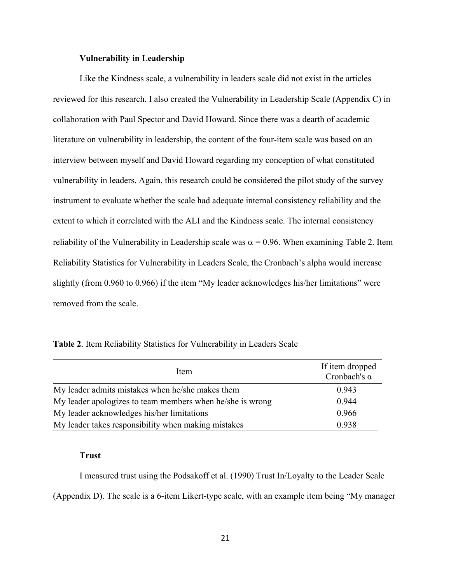# **Vulnerability in Leadership**

Like the Kindness scale, a vulnerability in leaders scale did not exist in the articles reviewed for this research. I also created the Vulnerability in Leadership Scale (Appendix C) in collaboration with Paul Spector and David Howard. Since there was a dearth of academic literature on vulnerability in leadership, the content of the four-item scale was based on an interview between myself and David Howard regarding my conception of what constituted vulnerability in leaders. Again, this research could be considered the pilot study of the survey instrument to evaluate whether the scale had adequate internal consistency reliability and the extent to which it correlated with the ALI and the Kindness scale. The internal consistency reliability of the Vulnerability in Leadership scale was  $\alpha = 0.96$ . When examining Table 2. Item Reliability Statistics for Vulnerability in Leaders Scale, the Cronbach's alpha would increase slightly (from 0.960 to 0.966) if the item "My leader acknowledges his/her limitations" were removed from the scale.

| Item                                                      | If item dropped<br>Cronbach's $\alpha$ |
|-----------------------------------------------------------|----------------------------------------|
| My leader admits mistakes when he/she makes them          | 0.943                                  |
| My leader apologizes to team members when he/she is wrong | 0.944                                  |
| My leader acknowledges his/her limitations                | 0.966                                  |
| My leader takes responsibility when making mistakes       | 0.938                                  |

# **Trust**

I measured trust using the Podsakoff et al. (1990) Trust In/Loyalty to the Leader Scale (Appendix D). The scale is a 6-item Likert-type scale, with an example item being "My manager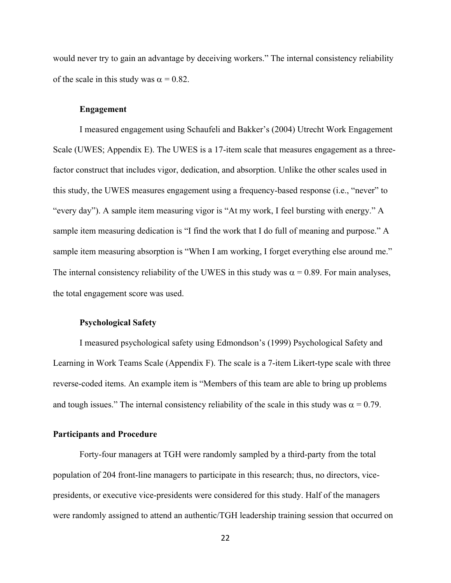would never try to gain an advantage by deceiving workers." The internal consistency reliability of the scale in this study was  $\alpha = 0.82$ .

# **Engagement**

I measured engagement using Schaufeli and Bakker's (2004) Utrecht Work Engagement Scale (UWES; Appendix E). The UWES is a 17-item scale that measures engagement as a threefactor construct that includes vigor, dedication, and absorption. Unlike the other scales used in this study, the UWES measures engagement using a frequency-based response (i.e., "never" to "every day"). A sample item measuring vigor is "At my work, I feel bursting with energy." A sample item measuring dedication is "I find the work that I do full of meaning and purpose." A sample item measuring absorption is "When I am working, I forget everything else around me." The internal consistency reliability of the UWES in this study was  $\alpha = 0.89$ . For main analyses, the total engagement score was used.

#### **Psychological Safety**

I measured psychological safety using Edmondson's (1999) Psychological Safety and Learning in Work Teams Scale (Appendix F). The scale is a 7-item Likert-type scale with three reverse-coded items. An example item is "Members of this team are able to bring up problems and tough issues." The internal consistency reliability of the scale in this study was  $\alpha = 0.79$ .

# **Participants and Procedure**

Forty-four managers at TGH were randomly sampled by a third-party from the total population of 204 front-line managers to participate in this research; thus, no directors, vicepresidents, or executive vice-presidents were considered for this study. Half of the managers were randomly assigned to attend an authentic/TGH leadership training session that occurred on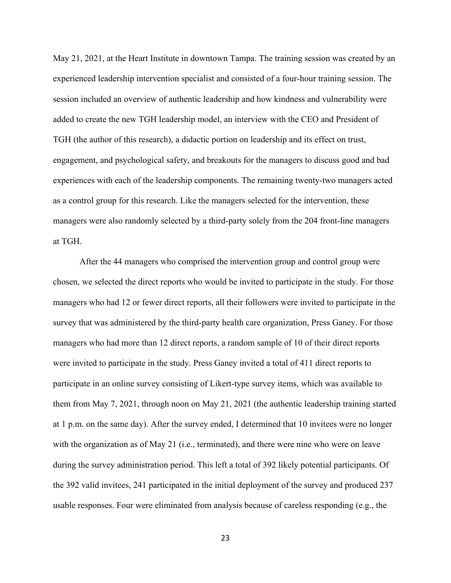May 21, 2021, at the Heart Institute in downtown Tampa. The training session was created by an experienced leadership intervention specialist and consisted of a four-hour training session. The session included an overview of authentic leadership and how kindness and vulnerability were added to create the new TGH leadership model, an interview with the CEO and President of TGH (the author of this research), a didactic portion on leadership and its effect on trust, engagement, and psychological safety, and breakouts for the managers to discuss good and bad experiences with each of the leadership components. The remaining twenty-two managers acted as a control group for this research. Like the managers selected for the intervention, these managers were also randomly selected by a third-party solely from the 204 front-line managers at TGH.

After the 44 managers who comprised the intervention group and control group were chosen, we selected the direct reports who would be invited to participate in the study. For those managers who had 12 or fewer direct reports, all their followers were invited to participate in the survey that was administered by the third-party health care organization, Press Ganey. For those managers who had more than 12 direct reports, a random sample of 10 of their direct reports were invited to participate in the study. Press Ganey invited a total of 411 direct reports to participate in an online survey consisting of Likert-type survey items, which was available to them from May 7, 2021, through noon on May 21, 2021 (the authentic leadership training started at 1 p.m. on the same day). After the survey ended, I determined that 10 invitees were no longer with the organization as of May 21 (i.e., terminated), and there were nine who were on leave during the survey administration period. This left a total of 392 likely potential participants. Of the 392 valid invitees, 241 participated in the initial deployment of the survey and produced 237 usable responses. Four were eliminated from analysis because of careless responding (e.g., the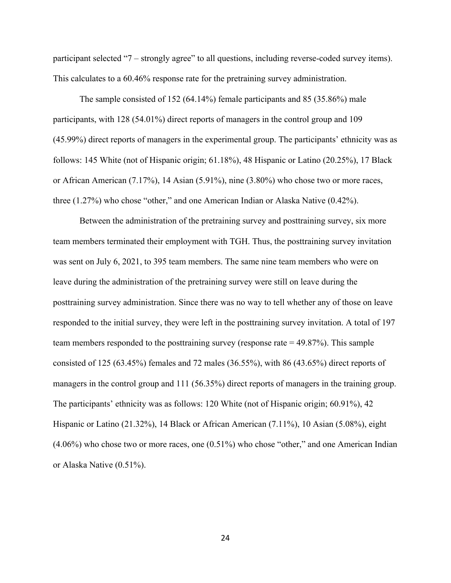participant selected "7 – strongly agree" to all questions, including reverse-coded survey items). This calculates to a 60.46% response rate for the pretraining survey administration.

The sample consisted of 152 (64.14%) female participants and 85 (35.86%) male participants, with 128 (54.01%) direct reports of managers in the control group and 109 (45.99%) direct reports of managers in the experimental group. The participants' ethnicity was as follows: 145 White (not of Hispanic origin; 61.18%), 48 Hispanic or Latino (20.25%), 17 Black or African American (7.17%), 14 Asian (5.91%), nine (3.80%) who chose two or more races, three (1.27%) who chose "other," and one American Indian or Alaska Native (0.42%).

Between the administration of the pretraining survey and posttraining survey, six more team members terminated their employment with TGH. Thus, the posttraining survey invitation was sent on July 6, 2021, to 395 team members. The same nine team members who were on leave during the administration of the pretraining survey were still on leave during the posttraining survey administration. Since there was no way to tell whether any of those on leave responded to the initial survey, they were left in the posttraining survey invitation. A total of 197 team members responded to the posttraining survey (response rate = 49.87%). This sample consisted of 125 (63.45%) females and 72 males (36.55%), with 86 (43.65%) direct reports of managers in the control group and 111 (56.35%) direct reports of managers in the training group. The participants' ethnicity was as follows: 120 White (not of Hispanic origin; 60.91%), 42 Hispanic or Latino (21.32%), 14 Black or African American (7.11%), 10 Asian (5.08%), eight (4.06%) who chose two or more races, one (0.51%) who chose "other," and one American Indian or Alaska Native (0.51%).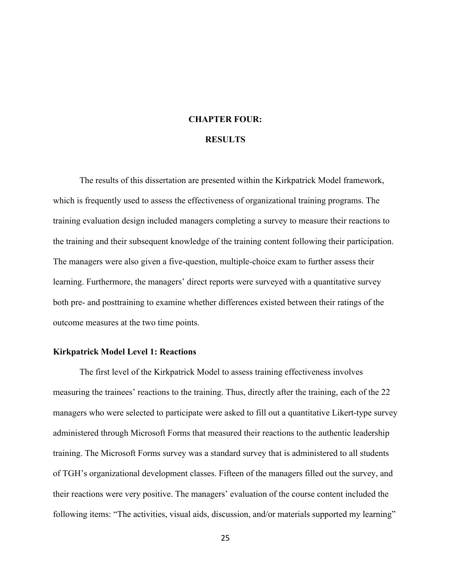### **CHAPTER FOUR:**

# **RESULTS**

The results of this dissertation are presented within the Kirkpatrick Model framework, which is frequently used to assess the effectiveness of organizational training programs. The training evaluation design included managers completing a survey to measure their reactions to the training and their subsequent knowledge of the training content following their participation. The managers were also given a five-question, multiple-choice exam to further assess their learning. Furthermore, the managers' direct reports were surveyed with a quantitative survey both pre- and posttraining to examine whether differences existed between their ratings of the outcome measures at the two time points.

#### **Kirkpatrick Model Level 1: Reactions**

The first level of the Kirkpatrick Model to assess training effectiveness involves measuring the trainees' reactions to the training. Thus, directly after the training, each of the 22 managers who were selected to participate were asked to fill out a quantitative Likert-type survey administered through Microsoft Forms that measured their reactions to the authentic leadership training. The Microsoft Forms survey was a standard survey that is administered to all students of TGH's organizational development classes. Fifteen of the managers filled out the survey, and their reactions were very positive. The managers' evaluation of the course content included the following items: "The activities, visual aids, discussion, and/or materials supported my learning"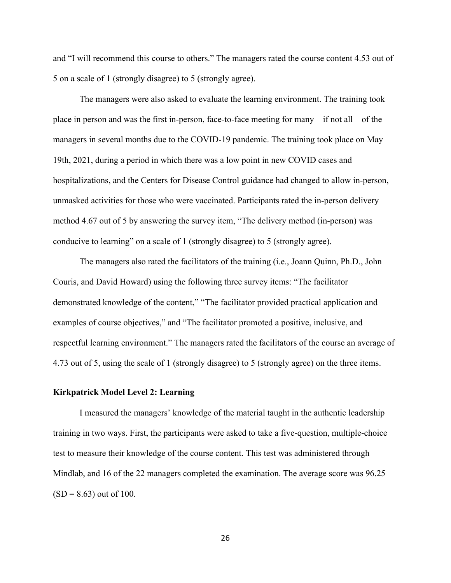and "I will recommend this course to others." The managers rated the course content 4.53 out of 5 on a scale of 1 (strongly disagree) to 5 (strongly agree).

The managers were also asked to evaluate the learning environment. The training took place in person and was the first in-person, face-to-face meeting for many—if not all—of the managers in several months due to the COVID-19 pandemic. The training took place on May 19th, 2021, during a period in which there was a low point in new COVID cases and hospitalizations, and the Centers for Disease Control guidance had changed to allow in-person, unmasked activities for those who were vaccinated. Participants rated the in-person delivery method 4.67 out of 5 by answering the survey item, "The delivery method (in-person) was conducive to learning" on a scale of 1 (strongly disagree) to 5 (strongly agree).

The managers also rated the facilitators of the training (i.e., Joann Quinn, Ph.D., John Couris, and David Howard) using the following three survey items: "The facilitator demonstrated knowledge of the content," "The facilitator provided practical application and examples of course objectives," and "The facilitator promoted a positive, inclusive, and respectful learning environment." The managers rated the facilitators of the course an average of 4.73 out of 5, using the scale of 1 (strongly disagree) to 5 (strongly agree) on the three items.

## **Kirkpatrick Model Level 2: Learning**

I measured the managers' knowledge of the material taught in the authentic leadership training in two ways. First, the participants were asked to take a five-question, multiple-choice test to measure their knowledge of the course content. This test was administered through Mindlab, and 16 of the 22 managers completed the examination. The average score was 96.25  $(SD = 8.63)$  out of 100.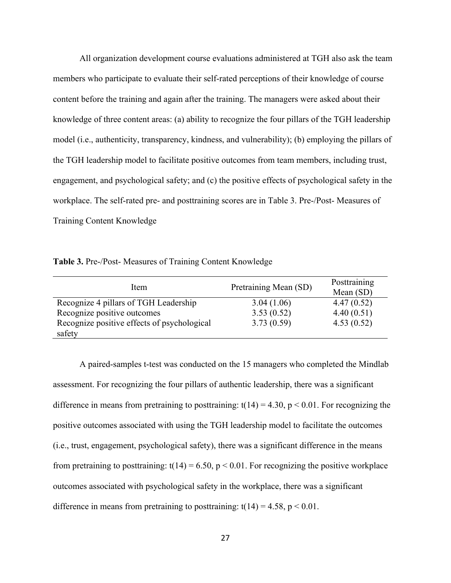All organization development course evaluations administered at TGH also ask the team members who participate to evaluate their self-rated perceptions of their knowledge of course content before the training and again after the training. The managers were asked about their knowledge of three content areas: (a) ability to recognize the four pillars of the TGH leadership model (i.e., authenticity, transparency, kindness, and vulnerability); (b) employing the pillars of the TGH leadership model to facilitate positive outcomes from team members, including trust, engagement, and psychological safety; and (c) the positive effects of psychological safety in the workplace. The self-rated pre- and posttraining scores are in Table 3. Pre-/Post- Measures of Training Content Knowledge

**Table 3.** Pre-/Post- Measures of Training Content Knowledge

| Item                                        | Pretraining Mean (SD) | Posttraining |  |  |
|---------------------------------------------|-----------------------|--------------|--|--|
|                                             |                       | Mean $(SD)$  |  |  |
| Recognize 4 pillars of TGH Leadership       | 3.04(1.06)            | 4.47(0.52)   |  |  |
| Recognize positive outcomes                 | 3.53(0.52)            | 4.40(0.51)   |  |  |
| Recognize positive effects of psychological | 3.73(0.59)            | 4.53(0.52)   |  |  |
| safety                                      |                       |              |  |  |

A paired-samples t-test was conducted on the 15 managers who completed the Mindlab assessment. For recognizing the four pillars of authentic leadership, there was a significant difference in means from pretraining to posttraining:  $t(14) = 4.30$ ,  $p < 0.01$ . For recognizing the positive outcomes associated with using the TGH leadership model to facilitate the outcomes (i.e., trust, engagement, psychological safety), there was a significant difference in the means from pretraining to posttraining:  $t(14) = 6.50$ ,  $p < 0.01$ . For recognizing the positive workplace outcomes associated with psychological safety in the workplace, there was a significant difference in means from pretraining to posttraining:  $t(14) = 4.58$ ,  $p < 0.01$ .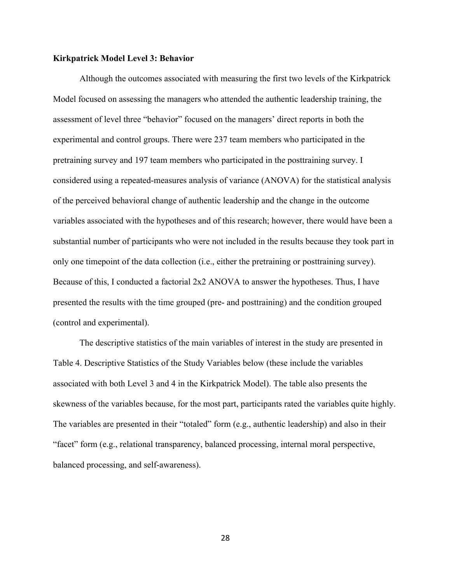#### **Kirkpatrick Model Level 3: Behavior**

Although the outcomes associated with measuring the first two levels of the Kirkpatrick Model focused on assessing the managers who attended the authentic leadership training, the assessment of level three "behavior" focused on the managers' direct reports in both the experimental and control groups. There were 237 team members who participated in the pretraining survey and 197 team members who participated in the posttraining survey. I considered using a repeated-measures analysis of variance (ANOVA) for the statistical analysis of the perceived behavioral change of authentic leadership and the change in the outcome variables associated with the hypotheses and of this research; however, there would have been a substantial number of participants who were not included in the results because they took part in only one timepoint of the data collection (i.e., either the pretraining or posttraining survey). Because of this, I conducted a factorial 2x2 ANOVA to answer the hypotheses. Thus, I have presented the results with the time grouped (pre- and posttraining) and the condition grouped (control and experimental).

The descriptive statistics of the main variables of interest in the study are presented in Table 4. Descriptive Statistics of the Study Variables below (these include the variables associated with both Level 3 and 4 in the Kirkpatrick Model). The table also presents the skewness of the variables because, for the most part, participants rated the variables quite highly. The variables are presented in their "totaled" form (e.g., authentic leadership) and also in their "facet" form (e.g., relational transparency, balanced processing, internal moral perspective, balanced processing, and self-awareness).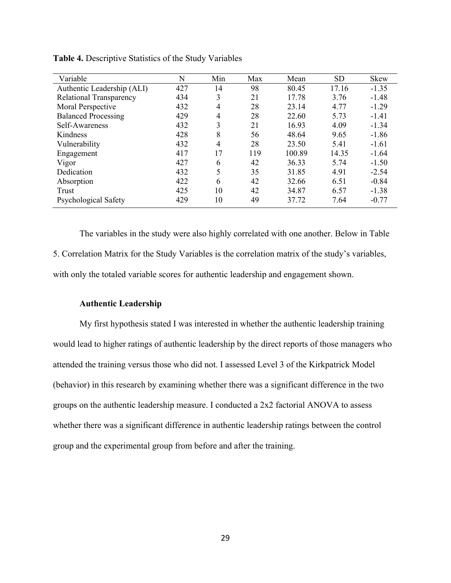| Variable                   | N   | Min | Max | Mean   | <b>SD</b> | Skew    |
|----------------------------|-----|-----|-----|--------|-----------|---------|
| Authentic Leadership (ALI) | 427 | 14  | 98  | 80.45  | 17.16     | $-1.35$ |
| Relational Transparency    | 434 | 3   | 21  | 17.78  | 3.76      | $-1.48$ |
| Moral Perspective          | 432 | 4   | 28  | 23.14  | 4.77      | $-1.29$ |
| <b>Balanced Processing</b> | 429 | 4   | 28  | 22.60  | 5.73      | $-1.41$ |
| Self-Awareness             | 432 | 3   | 21  | 16.93  | 4.09      | $-1.34$ |
| Kindness                   | 428 | 8   | 56  | 48.64  | 9.65      | $-1.86$ |
| Vulnerability              | 432 | 4   | 28  | 23.50  | 5.41      | $-1.61$ |
| Engagement                 | 417 | 17  | 119 | 100.89 | 14.35     | $-1.64$ |
| Vigor                      | 427 | 6   | 42  | 36.33  | 5.74      | $-1.50$ |
| Dedication                 | 432 | 5   | 35  | 31.85  | 4.91      | $-2.54$ |
| Absorption                 | 422 | 6   | 42  | 32.66  | 6.51      | $-0.84$ |
| Trust                      | 425 | 10  | 42  | 34.87  | 6.57      | $-1.38$ |
| Psychological Safety       | 429 | 10  | 49  | 37.72  | 7.64      | $-0.77$ |

**Table 4.** Descriptive Statistics of the Study Variables

The variables in the study were also highly correlated with one another. Below in Table 5. Correlation Matrix for the Study Variables is the correlation matrix of the study's variables, with only the totaled variable scores for authentic leadership and engagement shown.

## **Authentic Leadership**

My first hypothesis stated I was interested in whether the authentic leadership training would lead to higher ratings of authentic leadership by the direct reports of those managers who attended the training versus those who did not. I assessed Level 3 of the Kirkpatrick Model (behavior) in this research by examining whether there was a significant difference in the two groups on the authentic leadership measure. I conducted a 2x2 factorial ANOVA to assess whether there was a significant difference in authentic leadership ratings between the control group and the experimental group from before and after the training.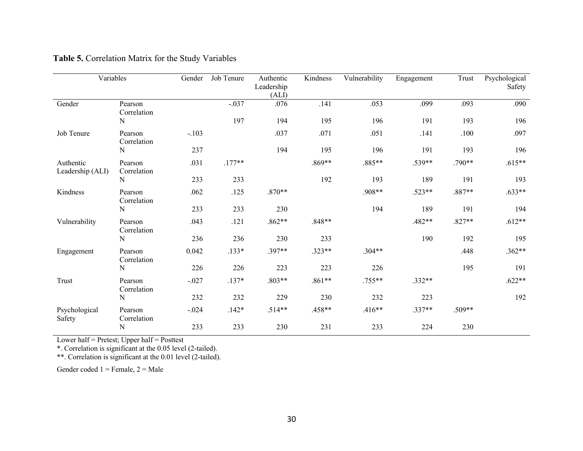| Variables                     |                        | Gender  | Job Tenure | Authentic<br>Leadership<br>(ALI) | Kindness | Vulnerability | Engagement | Trust    | Psychological<br>Safety |
|-------------------------------|------------------------|---------|------------|----------------------------------|----------|---------------|------------|----------|-------------------------|
| Gender                        | Pearson<br>Correlation |         | $-.037$    | .076                             | .141     | .053          | .099       | .093     | .090                    |
|                               | ${\bf N}$              |         | 197        | 194                              | 195      | 196           | 191        | 193      | 196                     |
| Job Tenure                    | Pearson<br>Correlation | $-.103$ |            | .037                             | .071     | .051          | .141       | .100     | .097                    |
|                               | N                      | 237     |            | 194                              | 195      | 196           | 191        | 193      | 196                     |
| Authentic<br>Leadership (ALI) | Pearson<br>Correlation | .031    | $.177**$   |                                  | .869**   | .885**        | .539**     | .790**   | $.615**$                |
|                               | $\mathbf N$            | 233     | 233        |                                  | 192      | 193           | 189        | 191      | 193                     |
| Kindness                      | Pearson<br>Correlation | .062    | .125       | $.870**$                         |          | .908**        | $.523**$   | .887**   | $.633**$                |
|                               | N                      | 233     | 233        | 230                              |          | 194           | 189        | 191      | 194                     |
| Vulnerability                 | Pearson<br>Correlation | .043    | .121       | $.862**$                         | .848**   |               | .482**     | $.827**$ | $.612**$                |
|                               | $\mathbf N$            | 236     | 236        | 230                              | 233      |               | 190        | 192      | 195                     |
| Engagement                    | Pearson<br>Correlation | 0.042   | $.133*$    | .397**                           | $.323**$ | $.304**$      |            | .448     | $.362**$                |
|                               | ${\bf N}$              | 226     | 226        | 223                              | 223      | 226           |            | 195      | 191                     |
| Trust                         | Pearson<br>Correlation | $-.027$ | $.137*$    | $.803**$                         | $.861**$ | $.755**$      | $.332**$   |          | $.622**$                |
|                               | $\mathbf N$            | 232     | 232        | 229                              | 230      | 232           | 223        |          | 192                     |
| Psychological<br>Safety       | Pearson<br>Correlation | $-.024$ | $.142*$    | $.514**$                         | .458**   | $.416**$      | $.337**$   | .509**   |                         |
|                               | $\mathbf N$            | 233     | 233        | 230                              | 231      | 233           | 224        | 230      |                         |

# **Table 5.** Correlation Matrix for the Study Variables

Lower half = Pretest; Upper half = Posttest

\*. Correlation is significant at the 0.05 level (2-tailed).

\*\*. Correlation is significant at the 0.01 level (2-tailed).

Gender coded  $1 =$  Female,  $2 =$  Male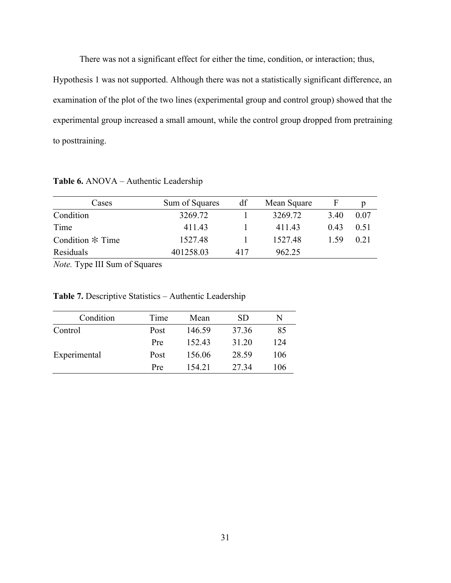There was not a significant effect for either the time, condition, or interaction; thus,

Hypothesis 1 was not supported. Although there was not a statistically significant difference, an examination of the plot of the two lines (experimental group and control group) showed that the experimental group increased a small amount, while the control group dropped from pretraining to posttraining.

**Table 6.** ANOVA – Authentic Leadership

| Cases              | Sum of Squares | df  | Mean Square | F    | p    |
|--------------------|----------------|-----|-------------|------|------|
| Condition          | 3269.72        |     | 3269.72     | 3.40 | 0.07 |
| Time               | 411.43         |     | 411.43      | 0.43 | 0.51 |
| Condition $*$ Time | 1527.48        |     | 1527.48     | 1.59 | 0.21 |
| Residuals          | 401258.03      | 417 | 962.25      |      |      |

*Note.* Type III Sum of Squares

**Table 7.** Descriptive Statistics – Authentic Leadership

| Condition    | Time | Mean   | SD.   | N   |
|--------------|------|--------|-------|-----|
| Control      | Post | 146.59 | 37.36 | 85  |
|              | Pre  | 152.43 | 31.20 | 124 |
| Experimental | Post | 156.06 | 28.59 | 106 |
|              | Pre  | 154.21 | 27.34 | 106 |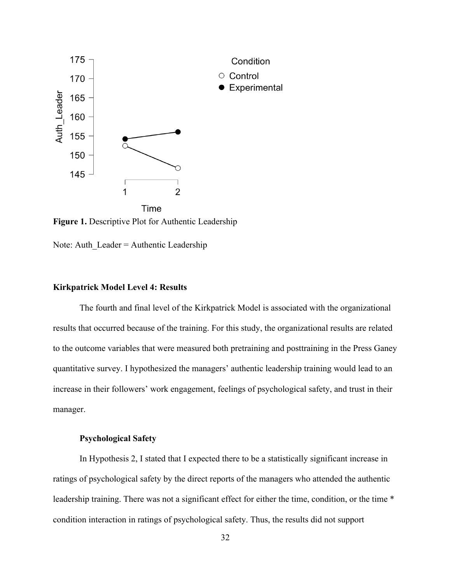

**Figure 1.** Descriptive Plot for Authentic Leadership

Note: Auth  $Leader =$  Authentic Leadership

### **Kirkpatrick Model Level 4: Results**

The fourth and final level of the Kirkpatrick Model is associated with the organizational results that occurred because of the training. For this study, the organizational results are related to the outcome variables that were measured both pretraining and posttraining in the Press Ganey quantitative survey. I hypothesized the managers' authentic leadership training would lead to an increase in their followers' work engagement, feelings of psychological safety, and trust in their manager.

### **Psychological Safety**

In Hypothesis 2, I stated that I expected there to be a statistically significant increase in ratings of psychological safety by the direct reports of the managers who attended the authentic leadership training. There was not a significant effect for either the time, condition, or the time \* condition interaction in ratings of psychological safety. Thus, the results did not support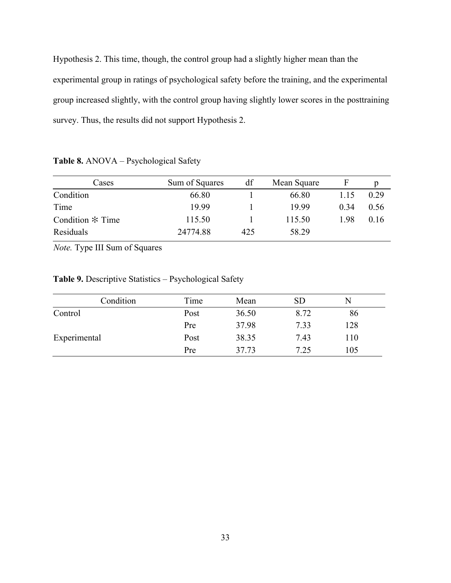Hypothesis 2. This time, though, the control group had a slightly higher mean than the experimental group in ratings of psychological safety before the training, and the experimental group increased slightly, with the control group having slightly lower scores in the posttraining survey. Thus, the results did not support Hypothesis 2.

|  |  | Table 8. ANOVA - Psychological Safety |  |
|--|--|---------------------------------------|--|
|  |  |                                       |  |

| Cases              | Sum of Squares | df  | Mean Square |      |      |
|--------------------|----------------|-----|-------------|------|------|
| Condition          | 66.80          |     | 66.80       | 1.15 | 0.29 |
| Time               | 19.99          |     | 19.99       | 0.34 | 0.56 |
| Condition $*$ Time | 115.50         |     | 115.50      | 1.98 | 0.16 |
| Residuals          | 24774.88       | 425 | 58.29       |      |      |

*Note.* Type III Sum of Squares

**Table 9.** Descriptive Statistics – Psychological Safety

| Condition    | Time | Mean  | SD   |     |  |
|--------------|------|-------|------|-----|--|
| Control      | Post | 36.50 | 8.72 | 86  |  |
|              | Pre  | 37.98 | 7.33 | 128 |  |
| Experimental | Post | 38.35 | 7.43 | 110 |  |
|              | Pre  | 37.73 | 7.25 | 105 |  |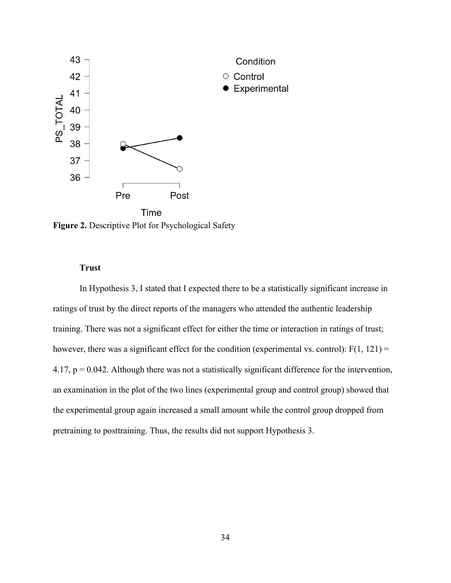

**Figure 2.** Descriptive Plot for Psychological Safety

## **Trust**

In Hypothesis 3, I stated that I expected there to be a statistically significant increase in ratings of trust by the direct reports of the managers who attended the authentic leadership training. There was not a significant effect for either the time or interaction in ratings of trust; however, there was a significant effect for the condition (experimental vs. control):  $F(1, 121) =$ 4.17,  $p = 0.042$ . Although there was not a statistically significant difference for the intervention, an examination in the plot of the two lines (experimental group and control group) showed that the experimental group again increased a small amount while the control group dropped from pretraining to posttraining. Thus, the results did not support Hypothesis 3.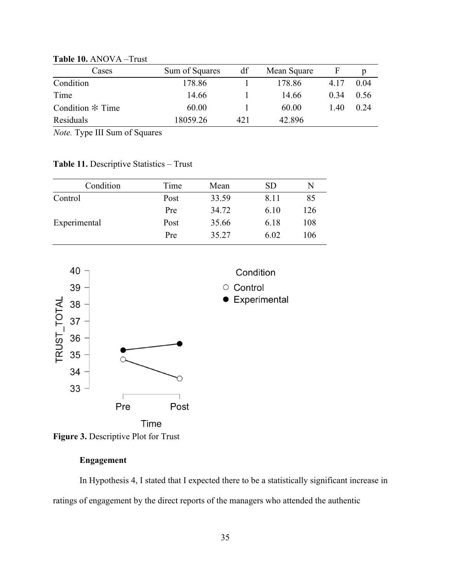| Cases              | Sum of Squares | df  | Mean Square | F    |      |
|--------------------|----------------|-----|-------------|------|------|
| Condition          | 178.86         |     | 178.86      | 4.17 | 0.04 |
| Time               | 14.66          |     | 14.66       | 0.34 | 0.56 |
| Condition $*$ Time | 60.00          |     | 60.00       | 1.40 | 0.24 |
| Residuals          | 18059.26       | 421 | 42.896      |      |      |

**Table 10.** ANOVA –Trust

*Note.* Type III Sum of Squares

**Table 11.** Descriptive Statistics – Trust

| Condition    | Time | Mean  | SD   | N   |
|--------------|------|-------|------|-----|
| Control      | Post | 33.59 | 8.11 | 85  |
|              | Pre  | 34.72 | 6.10 | 126 |
| Experimental | Post | 35.66 | 6.18 | 108 |
|              | Pre  | 35.27 | 6.02 | 106 |





# **Engagement**

In Hypothesis 4, I stated that I expected there to be a statistically significant increase in ratings of engagement by the direct reports of the managers who attended the authentic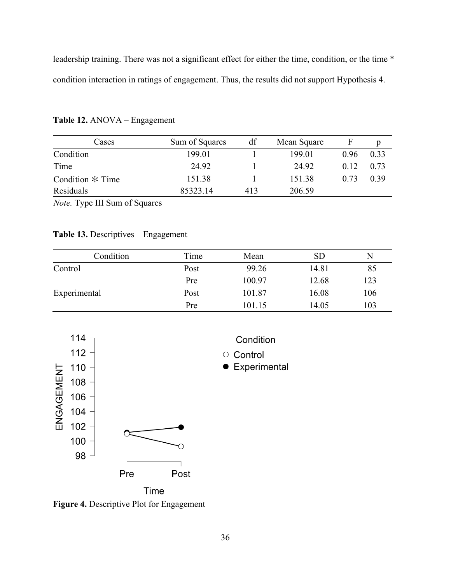leadership training. There was not a significant effect for either the time, condition, or the time \* condition interaction in ratings of engagement. Thus, the results did not support Hypothesis 4.

| Cases              | Sum of Squares | df  | Mean Square | F    |      |
|--------------------|----------------|-----|-------------|------|------|
| Condition          | 199.01         |     | 199.01      | 0.96 | 0.33 |
| Time               | 24.92          |     | 24.92       | 0.12 | 0.73 |
| Condition $*$ Time | 151.38         |     | 151.38      | 0.73 | 0.39 |
| Residuals          | 85323.14       | 413 | 206.59      |      |      |

**Table 12.** ANOVA – Engagement

*Note.* Type III Sum of Squares

# **Table 13.** Descriptives – Engagement

| Condition    | Time | Mean   | <b>SD</b> | N   |
|--------------|------|--------|-----------|-----|
| Control      | Post | 99.26  | 14.81     | 85  |
|              | Pre  | 100.97 | 12.68     | 123 |
| Experimental | Post | 101.87 | 16.08     | 106 |
|              | Pre  | 101.15 | 14.05     | 103 |



Condition

• Experimental

**Figure 4.** Descriptive Plot for Engagement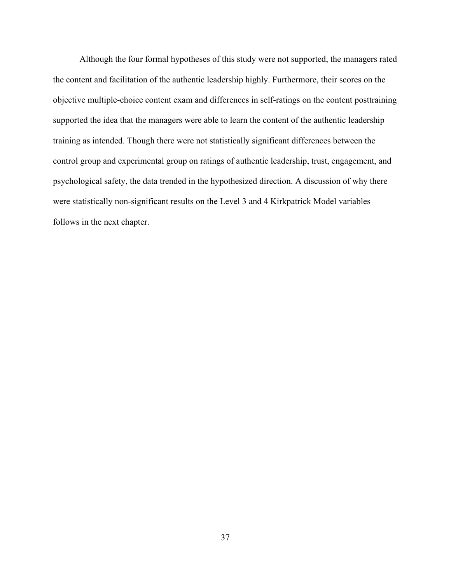Although the four formal hypotheses of this study were not supported, the managers rated the content and facilitation of the authentic leadership highly. Furthermore, their scores on the objective multiple-choice content exam and differences in self-ratings on the content posttraining supported the idea that the managers were able to learn the content of the authentic leadership training as intended. Though there were not statistically significant differences between the control group and experimental group on ratings of authentic leadership, trust, engagement, and psychological safety, the data trended in the hypothesized direction. A discussion of why there were statistically non-significant results on the Level 3 and 4 Kirkpatrick Model variables follows in the next chapter.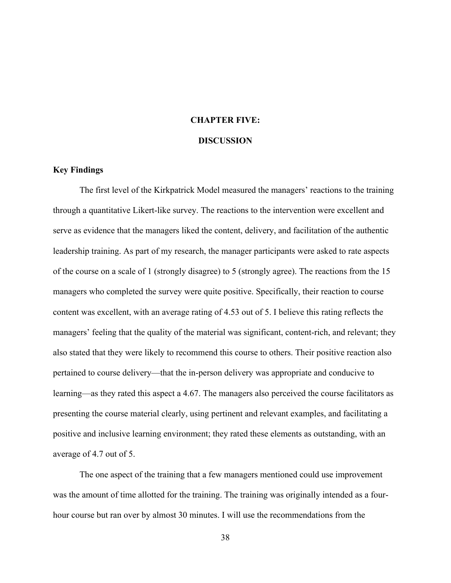# **CHAPTER FIVE:**

#### **DISCUSSION**

### **Key Findings**

The first level of the Kirkpatrick Model measured the managers' reactions to the training through a quantitative Likert-like survey. The reactions to the intervention were excellent and serve as evidence that the managers liked the content, delivery, and facilitation of the authentic leadership training. As part of my research, the manager participants were asked to rate aspects of the course on a scale of 1 (strongly disagree) to 5 (strongly agree). The reactions from the 15 managers who completed the survey were quite positive. Specifically, their reaction to course content was excellent, with an average rating of 4.53 out of 5. I believe this rating reflects the managers' feeling that the quality of the material was significant, content-rich, and relevant; they also stated that they were likely to recommend this course to others. Their positive reaction also pertained to course delivery—that the in-person delivery was appropriate and conducive to learning—as they rated this aspect a 4.67. The managers also perceived the course facilitators as presenting the course material clearly, using pertinent and relevant examples, and facilitating a positive and inclusive learning environment; they rated these elements as outstanding, with an average of 4.7 out of 5.

The one aspect of the training that a few managers mentioned could use improvement was the amount of time allotted for the training. The training was originally intended as a fourhour course but ran over by almost 30 minutes. I will use the recommendations from the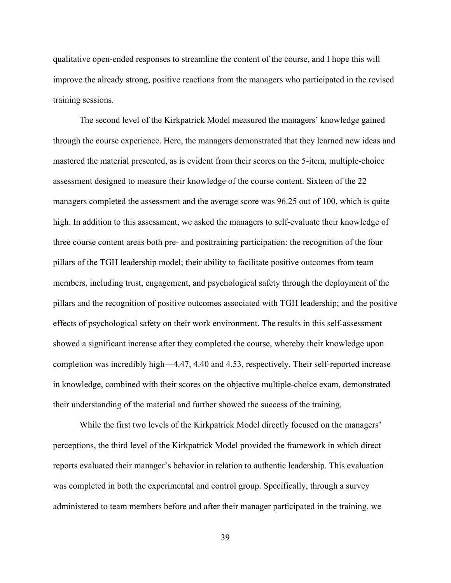qualitative open-ended responses to streamline the content of the course, and I hope this will improve the already strong, positive reactions from the managers who participated in the revised training sessions.

The second level of the Kirkpatrick Model measured the managers' knowledge gained through the course experience. Here, the managers demonstrated that they learned new ideas and mastered the material presented, as is evident from their scores on the 5-item, multiple-choice assessment designed to measure their knowledge of the course content. Sixteen of the 22 managers completed the assessment and the average score was 96.25 out of 100, which is quite high. In addition to this assessment, we asked the managers to self-evaluate their knowledge of three course content areas both pre- and posttraining participation: the recognition of the four pillars of the TGH leadership model; their ability to facilitate positive outcomes from team members, including trust, engagement, and psychological safety through the deployment of the pillars and the recognition of positive outcomes associated with TGH leadership; and the positive effects of psychological safety on their work environment. The results in this self-assessment showed a significant increase after they completed the course, whereby their knowledge upon completion was incredibly high—4.47, 4.40 and 4.53, respectively. Their self-reported increase in knowledge, combined with their scores on the objective multiple-choice exam, demonstrated their understanding of the material and further showed the success of the training.

While the first two levels of the Kirkpatrick Model directly focused on the managers' perceptions, the third level of the Kirkpatrick Model provided the framework in which direct reports evaluated their manager's behavior in relation to authentic leadership. This evaluation was completed in both the experimental and control group. Specifically, through a survey administered to team members before and after their manager participated in the training, we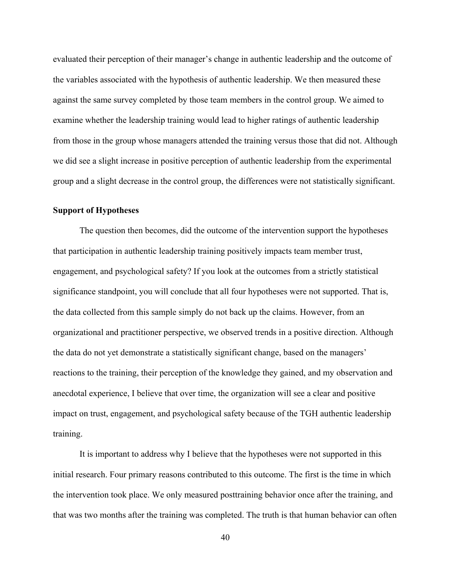evaluated their perception of their manager's change in authentic leadership and the outcome of the variables associated with the hypothesis of authentic leadership. We then measured these against the same survey completed by those team members in the control group. We aimed to examine whether the leadership training would lead to higher ratings of authentic leadership from those in the group whose managers attended the training versus those that did not. Although we did see a slight increase in positive perception of authentic leadership from the experimental group and a slight decrease in the control group, the differences were not statistically significant.

### **Support of Hypotheses**

The question then becomes, did the outcome of the intervention support the hypotheses that participation in authentic leadership training positively impacts team member trust, engagement, and psychological safety? If you look at the outcomes from a strictly statistical significance standpoint, you will conclude that all four hypotheses were not supported. That is, the data collected from this sample simply do not back up the claims. However, from an organizational and practitioner perspective, we observed trends in a positive direction. Although the data do not yet demonstrate a statistically significant change, based on the managers' reactions to the training, their perception of the knowledge they gained, and my observation and anecdotal experience, I believe that over time, the organization will see a clear and positive impact on trust, engagement, and psychological safety because of the TGH authentic leadership training.

It is important to address why I believe that the hypotheses were not supported in this initial research. Four primary reasons contributed to this outcome. The first is the time in which the intervention took place. We only measured posttraining behavior once after the training, and that was two months after the training was completed. The truth is that human behavior can often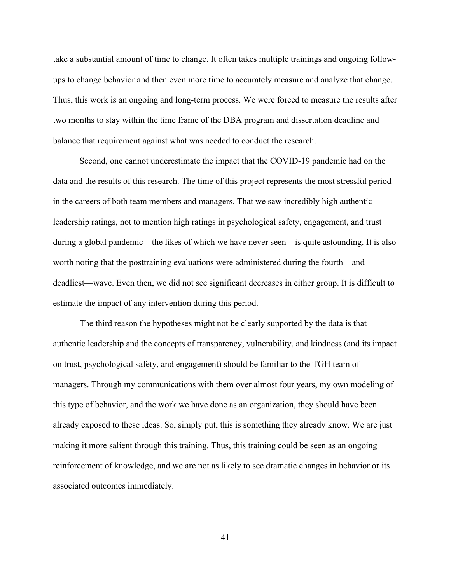take a substantial amount of time to change. It often takes multiple trainings and ongoing followups to change behavior and then even more time to accurately measure and analyze that change. Thus, this work is an ongoing and long-term process. We were forced to measure the results after two months to stay within the time frame of the DBA program and dissertation deadline and balance that requirement against what was needed to conduct the research.

Second, one cannot underestimate the impact that the COVID-19 pandemic had on the data and the results of this research. The time of this project represents the most stressful period in the careers of both team members and managers. That we saw incredibly high authentic leadership ratings, not to mention high ratings in psychological safety, engagement, and trust during a global pandemic—the likes of which we have never seen—is quite astounding. It is also worth noting that the posttraining evaluations were administered during the fourth—and deadliest—wave. Even then, we did not see significant decreases in either group. It is difficult to estimate the impact of any intervention during this period.

The third reason the hypotheses might not be clearly supported by the data is that authentic leadership and the concepts of transparency, vulnerability, and kindness (and its impact on trust, psychological safety, and engagement) should be familiar to the TGH team of managers. Through my communications with them over almost four years, my own modeling of this type of behavior, and the work we have done as an organization, they should have been already exposed to these ideas. So, simply put, this is something they already know. We are just making it more salient through this training. Thus, this training could be seen as an ongoing reinforcement of knowledge, and we are not as likely to see dramatic changes in behavior or its associated outcomes immediately.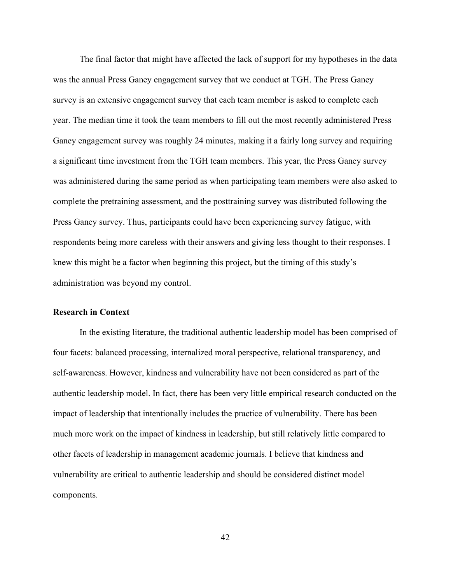The final factor that might have affected the lack of support for my hypotheses in the data was the annual Press Ganey engagement survey that we conduct at TGH. The Press Ganey survey is an extensive engagement survey that each team member is asked to complete each year. The median time it took the team members to fill out the most recently administered Press Ganey engagement survey was roughly 24 minutes, making it a fairly long survey and requiring a significant time investment from the TGH team members. This year, the Press Ganey survey was administered during the same period as when participating team members were also asked to complete the pretraining assessment, and the posttraining survey was distributed following the Press Ganey survey. Thus, participants could have been experiencing survey fatigue, with respondents being more careless with their answers and giving less thought to their responses. I knew this might be a factor when beginning this project, but the timing of this study's administration was beyond my control.

## **Research in Context**

In the existing literature, the traditional authentic leadership model has been comprised of four facets: balanced processing, internalized moral perspective, relational transparency, and self-awareness. However, kindness and vulnerability have not been considered as part of the authentic leadership model. In fact, there has been very little empirical research conducted on the impact of leadership that intentionally includes the practice of vulnerability. There has been much more work on the impact of kindness in leadership, but still relatively little compared to other facets of leadership in management academic journals. I believe that kindness and vulnerability are critical to authentic leadership and should be considered distinct model components.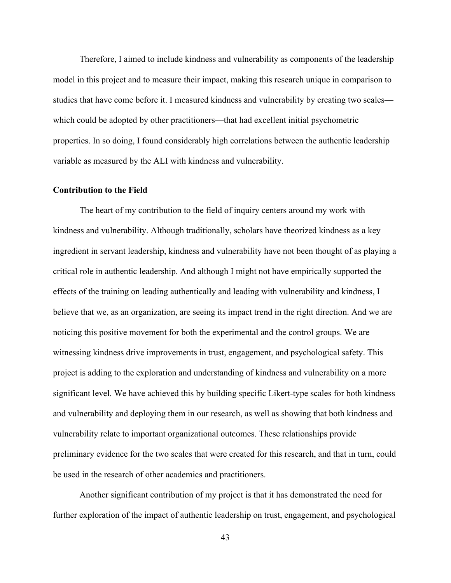Therefore, I aimed to include kindness and vulnerability as components of the leadership model in this project and to measure their impact, making this research unique in comparison to studies that have come before it. I measured kindness and vulnerability by creating two scales which could be adopted by other practitioners—that had excellent initial psychometric properties. In so doing, I found considerably high correlations between the authentic leadership variable as measured by the ALI with kindness and vulnerability.

#### **Contribution to the Field**

The heart of my contribution to the field of inquiry centers around my work with kindness and vulnerability. Although traditionally, scholars have theorized kindness as a key ingredient in servant leadership, kindness and vulnerability have not been thought of as playing a critical role in authentic leadership. And although I might not have empirically supported the effects of the training on leading authentically and leading with vulnerability and kindness, I believe that we, as an organization, are seeing its impact trend in the right direction. And we are noticing this positive movement for both the experimental and the control groups. We are witnessing kindness drive improvements in trust, engagement, and psychological safety. This project is adding to the exploration and understanding of kindness and vulnerability on a more significant level. We have achieved this by building specific Likert-type scales for both kindness and vulnerability and deploying them in our research, as well as showing that both kindness and vulnerability relate to important organizational outcomes. These relationships provide preliminary evidence for the two scales that were created for this research, and that in turn, could be used in the research of other academics and practitioners.

Another significant contribution of my project is that it has demonstrated the need for further exploration of the impact of authentic leadership on trust, engagement, and psychological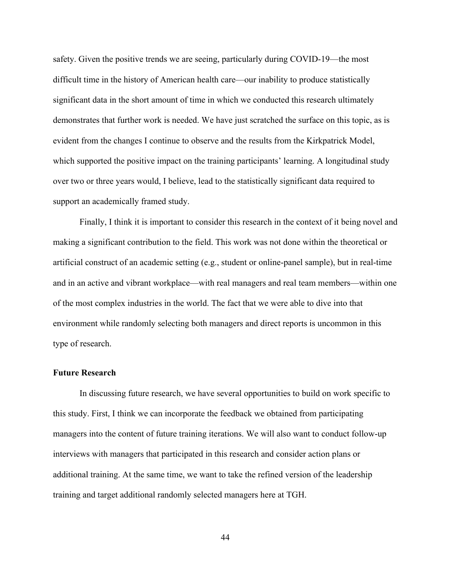safety. Given the positive trends we are seeing, particularly during COVID-19—the most difficult time in the history of American health care—our inability to produce statistically significant data in the short amount of time in which we conducted this research ultimately demonstrates that further work is needed. We have just scratched the surface on this topic, as is evident from the changes I continue to observe and the results from the Kirkpatrick Model, which supported the positive impact on the training participants' learning. A longitudinal study over two or three years would, I believe, lead to the statistically significant data required to support an academically framed study.

Finally, I think it is important to consider this research in the context of it being novel and making a significant contribution to the field. This work was not done within the theoretical or artificial construct of an academic setting (e.g., student or online-panel sample), but in real-time and in an active and vibrant workplace—with real managers and real team members—within one of the most complex industries in the world. The fact that we were able to dive into that environment while randomly selecting both managers and direct reports is uncommon in this type of research.

### **Future Research**

In discussing future research, we have several opportunities to build on work specific to this study. First, I think we can incorporate the feedback we obtained from participating managers into the content of future training iterations. We will also want to conduct follow-up interviews with managers that participated in this research and consider action plans or additional training. At the same time, we want to take the refined version of the leadership training and target additional randomly selected managers here at TGH.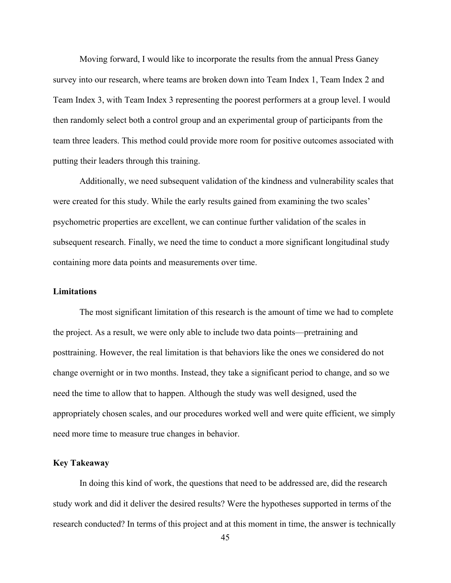Moving forward, I would like to incorporate the results from the annual Press Ganey survey into our research, where teams are broken down into Team Index 1, Team Index 2 and Team Index 3, with Team Index 3 representing the poorest performers at a group level. I would then randomly select both a control group and an experimental group of participants from the team three leaders. This method could provide more room for positive outcomes associated with putting their leaders through this training.

Additionally, we need subsequent validation of the kindness and vulnerability scales that were created for this study. While the early results gained from examining the two scales' psychometric properties are excellent, we can continue further validation of the scales in subsequent research. Finally, we need the time to conduct a more significant longitudinal study containing more data points and measurements over time.

## **Limitations**

The most significant limitation of this research is the amount of time we had to complete the project. As a result, we were only able to include two data points—pretraining and posttraining. However, the real limitation is that behaviors like the ones we considered do not change overnight or in two months. Instead, they take a significant period to change, and so we need the time to allow that to happen. Although the study was well designed, used the appropriately chosen scales, and our procedures worked well and were quite efficient, we simply need more time to measure true changes in behavior.

### **Key Takeaway**

In doing this kind of work, the questions that need to be addressed are, did the research study work and did it deliver the desired results? Were the hypotheses supported in terms of the research conducted? In terms of this project and at this moment in time, the answer is technically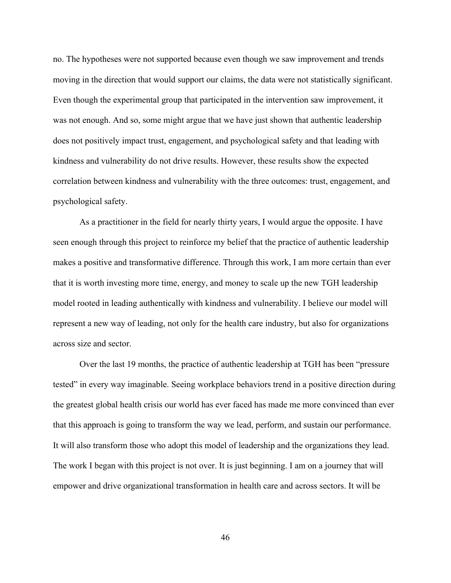no. The hypotheses were not supported because even though we saw improvement and trends moving in the direction that would support our claims, the data were not statistically significant. Even though the experimental group that participated in the intervention saw improvement, it was not enough. And so, some might argue that we have just shown that authentic leadership does not positively impact trust, engagement, and psychological safety and that leading with kindness and vulnerability do not drive results. However, these results show the expected correlation between kindness and vulnerability with the three outcomes: trust, engagement, and psychological safety.

As a practitioner in the field for nearly thirty years, I would argue the opposite. I have seen enough through this project to reinforce my belief that the practice of authentic leadership makes a positive and transformative difference. Through this work, I am more certain than ever that it is worth investing more time, energy, and money to scale up the new TGH leadership model rooted in leading authentically with kindness and vulnerability. I believe our model will represent a new way of leading, not only for the health care industry, but also for organizations across size and sector.

Over the last 19 months, the practice of authentic leadership at TGH has been "pressure tested" in every way imaginable. Seeing workplace behaviors trend in a positive direction during the greatest global health crisis our world has ever faced has made me more convinced than ever that this approach is going to transform the way we lead, perform, and sustain our performance. It will also transform those who adopt this model of leadership and the organizations they lead. The work I began with this project is not over. It is just beginning. I am on a journey that will empower and drive organizational transformation in health care and across sectors. It will be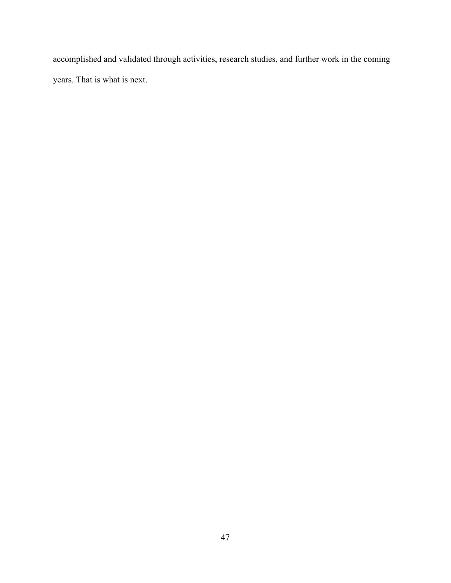accomplished and validated through activities, research studies, and further work in the coming years. That is what is next.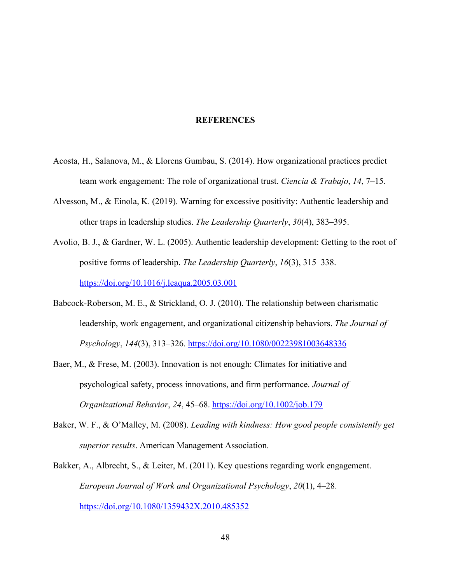#### **REFERENCES**

- Acosta, H., Salanova, M., & Llorens Gumbau, S. (2014). How organizational practices predict team work engagement: The role of organizational trust. *Ciencia & Trabajo*, *14*, 7–15.
- Alvesson, M., & Einola, K. (2019). Warning for excessive positivity: Authentic leadership and other traps in leadership studies. *The Leadership Quarterly*, *30*(4), 383–395.
- Avolio, B. J., & Gardner, W. L. (2005). Authentic leadership development: Getting to the root of positive forms of leadership. *The Leadership Quarterly*, *16*(3), 315–338. https://doi.org/10.1016/j.leaqua.2005.03.001
- Babcock-Roberson, M. E., & Strickland, O. J. (2010). The relationship between charismatic leadership, work engagement, and organizational citizenship behaviors. *The Journal of Psychology*, *144*(3), 313–326. https://doi.org/10.1080/00223981003648336
- Baer, M., & Frese, M. (2003). Innovation is not enough: Climates for initiative and psychological safety, process innovations, and firm performance. *Journal of Organizational Behavior*, *24*, 45–68. https://doi.org/10.1002/job.179
- Baker, W. F., & O'Malley, M. (2008). *Leading with kindness: How good people consistently get superior results*. American Management Association.
- Bakker, A., Albrecht, S., & Leiter, M. (2011). Key questions regarding work engagement. *European Journal of Work and Organizational Psychology*, *20*(1), 4–28. https://doi.org/10.1080/1359432X.2010.485352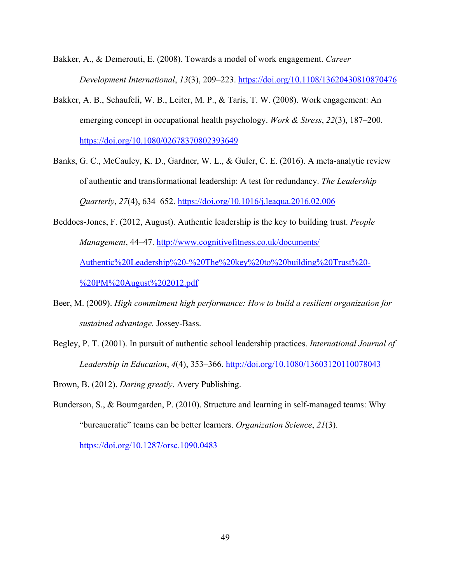Bakker, A., & Demerouti, E. (2008). Towards a model of work engagement. *Career Development International*, *13*(3), 209–223. https://doi.org/10.1108/13620430810870476

- Bakker, A. B., Schaufeli, W. B., Leiter, M. P., & Taris, T. W. (2008). Work engagement: An emerging concept in occupational health psychology. *Work & Stress*, *22*(3), 187–200. https://doi.org/10.1080/02678370802393649
- Banks, G. C., McCauley, K. D., Gardner, W. L., & Guler, C. E. (2016). A meta-analytic review of authentic and transformational leadership: A test for redundancy. *The Leadership Quarterly*, *27*(4), 634–652. https://doi.org/10.1016/j.leaqua.2016.02.006
- Beddoes-Jones, F. (2012, August). Authentic leadership is the key to building trust. *People Management*, 44–47. http://www.cognitivefitness.co.uk/documents/ Authentic%20Leadership%20-%20The%20key%20to%20building%20Trust%20- %20PM%20August%202012.pdf
- Beer, M. (2009). *High commitment high performance: How to build a resilient organization for sustained advantage.* Jossey-Bass.
- Begley, P. T. (2001). In pursuit of authentic school leadership practices. *International Journal of Leadership in Education*, *4*(4), 353–366. http://doi.org/10.1080/13603120110078043

Brown, B. (2012). *Daring greatly*. Avery Publishing.

Bunderson, S., & Boumgarden, P. (2010). Structure and learning in self-managed teams: Why "bureaucratic" teams can be better learners. *Organization Science*, *21*(3).

https://doi.org/10.1287/orsc.1090.0483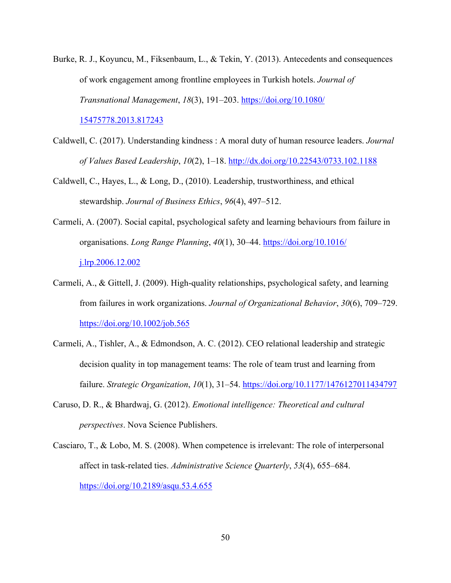- Burke, R. J., Koyuncu, M., Fiksenbaum, L., & Tekin, Y. (2013). Antecedents and consequences of work engagement among frontline employees in Turkish hotels. *Journal of Transnational Management*, *18*(3), 191–203. https://doi.org/10.1080/ 15475778.2013.817243
- Caldwell, C. (2017). Understanding kindness : A moral duty of human resource leaders. *Journal of Values Based Leadership*, *10*(2), 1–18. http://dx.doi.org/10.22543/0733.102.1188
- Caldwell, C., Hayes, L., & Long, D., (2010). Leadership, trustworthiness, and ethical stewardship. *Journal of Business Ethics*, *96*(4), 497–512.
- Carmeli, A. (2007). Social capital, psychological safety and learning behaviours from failure in organisations. *Long Range Planning*, *40*(1), 30–44. https://doi.org/10.1016/ j.lrp.2006.12.002
- Carmeli, A., & Gittell, J. (2009). High-quality relationships, psychological safety, and learning from failures in work organizations. *Journal of Organizational Behavior*, *30*(6), 709–729. https://doi.org/10.1002/job.565
- Carmeli, A., Tishler, A., & Edmondson, A. C. (2012). CEO relational leadership and strategic decision quality in top management teams: The role of team trust and learning from failure. *Strategic Organization*, *10*(1), 31–54. https://doi.org/10.1177/1476127011434797
- Caruso, D. R., & Bhardwaj, G. (2012). *Emotional intelligence: Theoretical and cultural perspectives*. Nova Science Publishers.
- Casciaro, T., & Lobo, M. S. (2008). When competence is irrelevant: The role of interpersonal affect in task-related ties. *Administrative Science Quarterly*, *53*(4), 655–684. https://doi.org/10.2189/asqu.53.4.655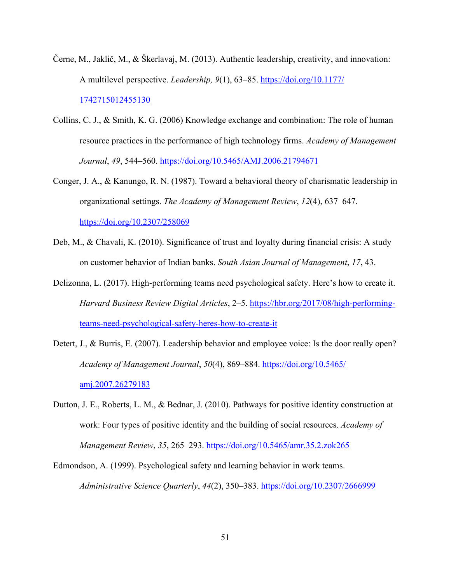- Černe, M., Jaklič, M., & Škerlavaj, M. (2013). Authentic leadership, creativity, and innovation: A multilevel perspective. *Leadership, 9*(1), 63–85. https://doi.org/10.1177/ 1742715012455130
- Collins, C. J., & Smith, K. G. (2006) Knowledge exchange and combination: The role of human resource practices in the performance of high technology firms. *Academy of Management Journal*, *49*, 544–560. https://doi.org/10.5465/AMJ.2006.21794671
- Conger, J. A., & Kanungo, R. N. (1987). Toward a behavioral theory of charismatic leadership in organizational settings. *The Academy of Management Review*, *12*(4), 637–647. https://doi.org/10.2307/258069
- Deb, M., & Chavali, K. (2010). Significance of trust and loyalty during financial crisis: A study on customer behavior of Indian banks. *South Asian Journal of Management*, *17*, 43.
- Delizonna, L. (2017). High-performing teams need psychological safety. Here's how to create it. *Harvard Business Review Digital Articles*, 2–5. https://hbr.org/2017/08/high-performingteams-need-psychological-safety-heres-how-to-create-it
- Detert, J., & Burris, E. (2007). Leadership behavior and employee voice: Is the door really open? *Academy of Management Journal*, *50*(4), 869–884. https://doi.org/10.5465/ amj.2007.26279183
- Dutton, J. E., Roberts, L. M., & Bednar, J. (2010). Pathways for positive identity construction at work: Four types of positive identity and the building of social resources. *Academy of Management Review*, *35*, 265–293. https://doi.org/10.5465/amr.35.2.zok265
- Edmondson, A. (1999). Psychological safety and learning behavior in work teams. *Administrative Science Quarterly*, *44*(2), 350–383. https://doi.org/10.2307/2666999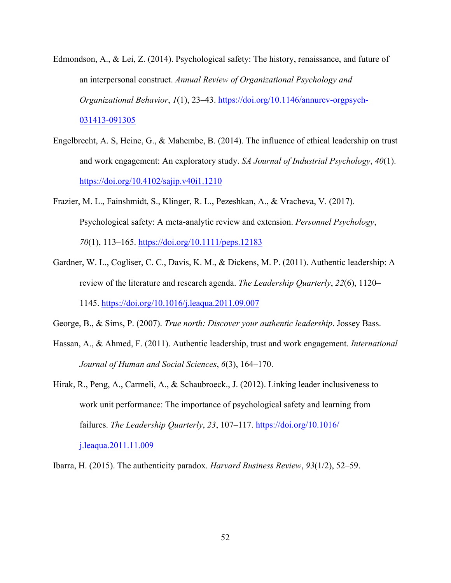- Edmondson, A., & Lei, Z. (2014). Psychological safety: The history, renaissance, and future of an interpersonal construct. *Annual Review of Organizational Psychology and Organizational Behavior*, *1*(1), 23–43. https://doi.org/10.1146/annurev-orgpsych-031413-091305
- Engelbrecht, A. S, Heine, G., & Mahembe, B. (2014). The influence of ethical leadership on trust and work engagement: An exploratory study. *SA Journal of Industrial Psychology*, *40*(1). https://doi.org/10.4102/sajip.v40i1.1210
- Frazier, M. L., Fainshmidt, S., Klinger, R. L., Pezeshkan, A., & Vracheva, V. (2017). Psychological safety: A meta‐analytic review and extension. *Personnel Psychology*, *70*(1), 113–165. https://doi.org/10.1111/peps.12183
- Gardner, W. L., Cogliser, C. C., Davis, K. M., & Dickens, M. P. (2011). Authentic leadership: A review of the literature and research agenda. *The Leadership Quarterly*, *22*(6), 1120– 1145. https://doi.org/10.1016/j.leaqua.2011.09.007
- George, B., & Sims, P. (2007). *True north: Discover your authentic leadership*. Jossey Bass.
- Hassan, A., & Ahmed, F. (2011). Authentic leadership, trust and work engagement. *International Journal of Human and Social Sciences*, *6*(3), 164–170.
- Hirak, R., Peng, A., Carmeli, A., & Schaubroeck., J. (2012). Linking leader inclusiveness to work unit performance: The importance of psychological safety and learning from failures. *The Leadership Quarterly*, *23*, 107–117. https://doi.org/10.1016/ j.leaqua.2011.11.009

Ibarra, H. (2015). The authenticity paradox. *Harvard Business Review*, *93*(1/2), 52–59.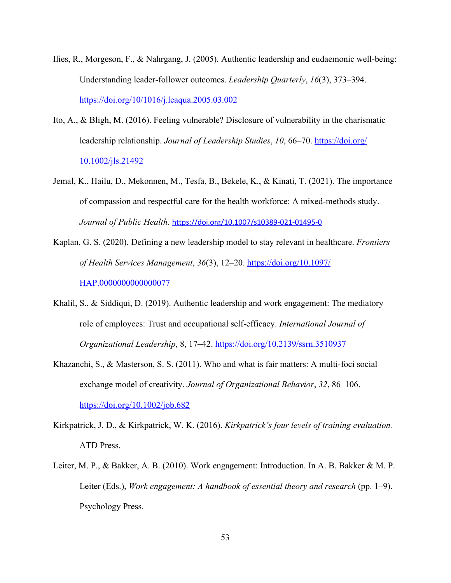- Ilies, R., Morgeson, F., & Nahrgang, J. (2005). Authentic leadership and eudaemonic well-being: Understanding leader-follower outcomes. *Leadership Quarterly*, *16*(3), 373–394. https://doi.org/10/1016/j.leaqua.2005.03.002
- Ito, A., & Bligh, M. (2016). Feeling vulnerable? Disclosure of vulnerability in the charismatic leadership relationship. *Journal of Leadership Studies*, 10, 66–70. https://doi.org/ 10.1002/jls.21492
- Jemal, K., Hailu, D., Mekonnen, M., Tesfa, B., Bekele, K., & Kinati, T. (2021). The importance of compassion and respectful care for the health workforce: A mixed-methods study. *Journal of Public Health.* https://doi.org/10.1007/s10389-021-01495-0
- Kaplan, G. S. (2020). Defining a new leadership model to stay relevant in healthcare. *Frontiers of Health Services Management*, *36*(3), 12–20. https://doi.org/10.1097/ HAP.0000000000000077
- Khalil, S., & Siddiqui, D. (2019). Authentic leadership and work engagement: The mediatory role of employees: Trust and occupational self-efficacy. *International Journal of Organizational Leadership*, 8, 17–42. https://doi.org/10.2139/ssrn.3510937
- Khazanchi, S., & Masterson, S. S. (2011). Who and what is fair matters: A multi-foci social exchange model of creativity. *Journal of Organizational Behavior*, *32*, 86–106. https://doi.org/10.1002/job.682
- Kirkpatrick, J. D., & Kirkpatrick, W. K. (2016). *Kirkpatrick's four levels of training evaluation.* ATD Press.
- Leiter, M. P., & Bakker, A. B. (2010). Work engagement: Introduction. In A. B. Bakker & M. P. Leiter (Eds.), *Work engagement: A handbook of essential theory and research* (pp. 1–9). Psychology Press.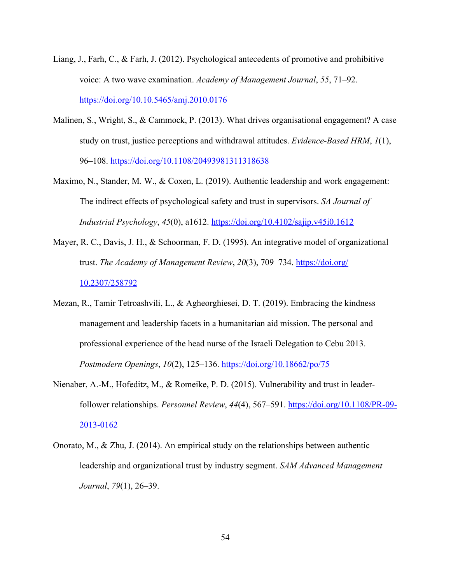- Liang, J., Farh, C., & Farh, J. (2012). Psychological antecedents of promotive and prohibitive voice: A two wave examination. *Academy of Management Journal*, *55*, 71–92. https://doi.org/10.10.5465/amj.2010.0176
- Malinen, S., Wright, S., & Cammock, P. (2013). What drives organisational engagement? A case study on trust, justice perceptions and withdrawal attitudes. *Evidence-Based HRM*, *1*(1), 96–108. https://doi.org/10.1108/20493981311318638
- Maximo, N., Stander, M. W., & Coxen, L. (2019). Authentic leadership and work engagement: The indirect effects of psychological safety and trust in supervisors. *SA Journal of Industrial Psychology*, *45*(0), a1612. https://doi.org/10.4102/sajip.v45i0.1612
- Mayer, R. C., Davis, J. H., & Schoorman, F. D. (1995). An integrative model of organizational trust. *The Academy of Management Review*, *20*(3), 709–734. https://doi.org/ 10.2307/258792
- Mezan, R., Tamir Tetroashvili, L., & Agheorghiesei, D. T. (2019). Embracing the kindness management and leadership facets in a humanitarian aid mission. The personal and professional experience of the head nurse of the Israeli Delegation to Cebu 2013. *Postmodern Openings*, *10*(2), 125–136. https://doi.org/10.18662/po/75
- Nienaber, A.-M., Hofeditz, M., & Romeike, P. D. (2015). Vulnerability and trust in leaderfollower relationships. *Personnel Review*, *44*(4), 567–591. https://doi.org/10.1108/PR-09- 2013-0162
- Onorato, M., & Zhu, J. (2014). An empirical study on the relationships between authentic leadership and organizational trust by industry segment. *SAM Advanced Management Journal*, *79*(1), 26–39.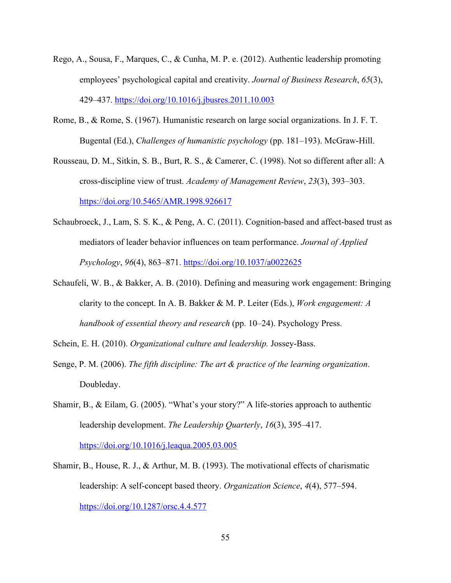- Rego, A., Sousa, F., Marques, C., & Cunha, M. P. e. (2012). Authentic leadership promoting employees' psychological capital and creativity. *Journal of Business Research*, *65*(3), 429–437. https://doi.org/10.1016/j.jbusres.2011.10.003
- Rome, B., & Rome, S. (1967). Humanistic research on large social organizations. In J. F. T. Bugental (Ed.), *Challenges of humanistic psychology* (pp. 181–193). McGraw-Hill.
- Rousseau, D. M., Sitkin, S. B., Burt, R. S., & Camerer, C. (1998). Not so different after all: A cross-discipline view of trust. *Academy of Management Review*, *23*(3), 393–303. https://doi.org/10.5465/AMR.1998.926617
- Schaubroeck, J., Lam, S. S. K., & Peng, A. C. (2011). Cognition-based and affect-based trust as mediators of leader behavior influences on team performance. *Journal of Applied Psychology*, *96*(4), 863–871. https://doi.org/10.1037/a0022625
- Schaufeli, W. B., & Bakker, A. B. (2010). Defining and measuring work engagement: Bringing clarity to the concept. In A. B. Bakker & M. P. Leiter (Eds.), *Work engagement: A handbook of essential theory and research* (pp. 10–24). Psychology Press.

Schein, E. H. (2010). *Organizational culture and leadership.* Jossey-Bass.

- Senge, P. M. (2006). *The fifth discipline: The art & practice of the learning organization*. Doubleday.
- Shamir, B., & Eilam, G. (2005). "What's your story?" A life-stories approach to authentic leadership development. *The Leadership Quarterly*, *16*(3), 395–417. https://doi.org/10.1016/j.leaqua.2005.03.005
- Shamir, B., House, R. J., & Arthur, M. B. (1993). The motivational effects of charismatic leadership: A self-concept based theory. *Organization Science*, *4*(4), 577–594. https://doi.org/10.1287/orsc.4.4.577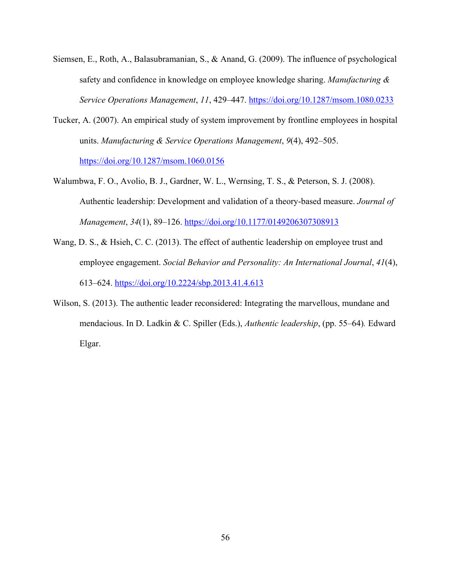- Siemsen, E., Roth, A., Balasubramanian, S., & Anand, G. (2009). The influence of psychological safety and confidence in knowledge on employee knowledge sharing. *Manufacturing & Service Operations Management*, *11*, 429–447. https://doi.org/10.1287/msom.1080.0233
- Tucker, A. (2007). An empirical study of system improvement by frontline employees in hospital units. *Manufacturing & Service Operations Management*, *9*(4), 492–505. https://doi.org/10.1287/msom.1060.0156
- Walumbwa, F. O., Avolio, B. J., Gardner, W. L., Wernsing, T. S., & Peterson, S. J. (2008). Authentic leadership: Development and validation of a theory-based measure. *Journal of Management*, *34*(1), 89–126. https://doi.org/10.1177/0149206307308913
- Wang, D. S., & Hsieh, C. C. (2013). The effect of authentic leadership on employee trust and employee engagement. *Social Behavior and Personality: An International Journal*, *41*(4), 613–624. https://doi.org/10.2224/sbp.2013.41.4.613
- Wilson, S. (2013). The authentic leader reconsidered: Integrating the marvellous, mundane and mendacious. In D. Ladkin & C. Spiller (Eds.), *Authentic leadership*, (pp. 55–64)*.* Edward Elgar.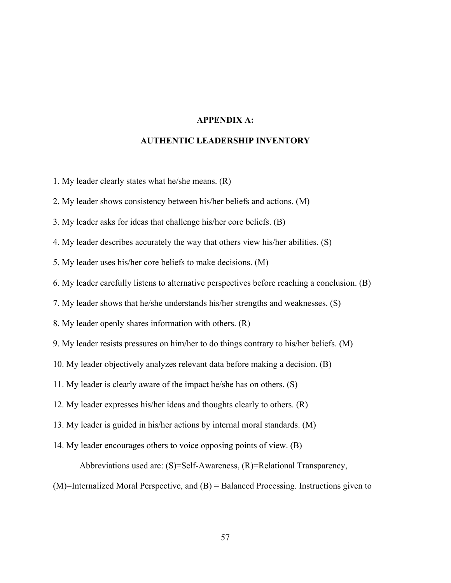### **APPENDIX A:**

#### **AUTHENTIC LEADERSHIP INVENTORY**

1. My leader clearly states what he/she means. (R)

2. My leader shows consistency between his/her beliefs and actions. (M)

3. My leader asks for ideas that challenge his/her core beliefs. (B)

4. My leader describes accurately the way that others view his/her abilities. (S)

5. My leader uses his/her core beliefs to make decisions. (M)

6. My leader carefully listens to alternative perspectives before reaching a conclusion. (B)

7. My leader shows that he/she understands his/her strengths and weaknesses. (S)

8. My leader openly shares information with others. (R)

9. My leader resists pressures on him/her to do things contrary to his/her beliefs. (M)

10. My leader objectively analyzes relevant data before making a decision. (B)

11. My leader is clearly aware of the impact he/she has on others. (S)

12. My leader expresses his/her ideas and thoughts clearly to others. (R)

13. My leader is guided in his/her actions by internal moral standards. (M)

14. My leader encourages others to voice opposing points of view. (B)

Abbreviations used are: (S)=Self-Awareness, (R)=Relational Transparency,

(M)=Internalized Moral Perspective, and (B) = Balanced Processing. Instructions given to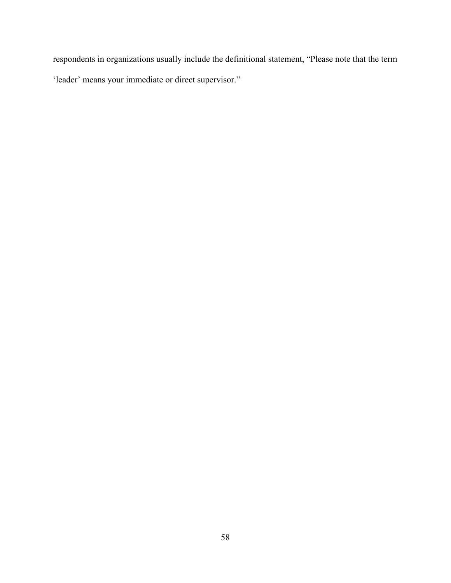respondents in organizations usually include the definitional statement, "Please note that the term 'leader' means your immediate or direct supervisor."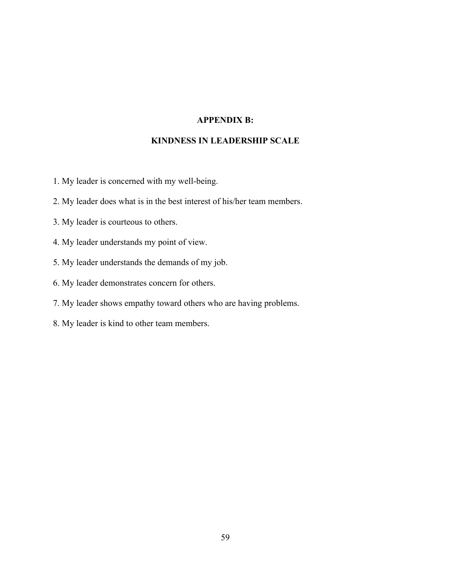### **APPENDIX B:**

### **KINDNESS IN LEADERSHIP SCALE**

- 1. My leader is concerned with my well-being.
- 2. My leader does what is in the best interest of his/her team members.
- 3. My leader is courteous to others.
- 4. My leader understands my point of view.
- 5. My leader understands the demands of my job.
- 6. My leader demonstrates concern for others.
- 7. My leader shows empathy toward others who are having problems.
- 8. My leader is kind to other team members.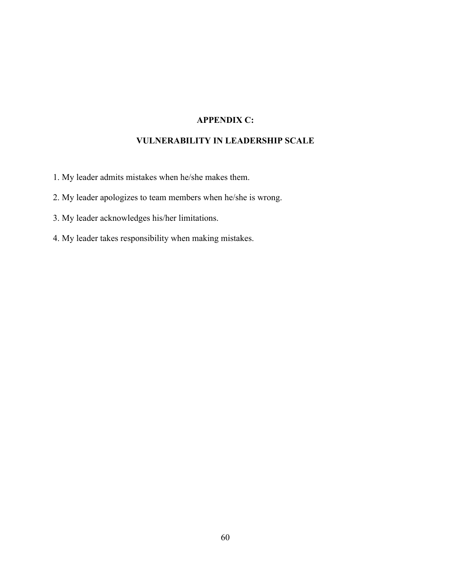# **APPENDIX C:**

## **VULNERABILITY IN LEADERSHIP SCALE**

- 1. My leader admits mistakes when he/she makes them.
- 2. My leader apologizes to team members when he/she is wrong.
- 3. My leader acknowledges his/her limitations.
- 4. My leader takes responsibility when making mistakes.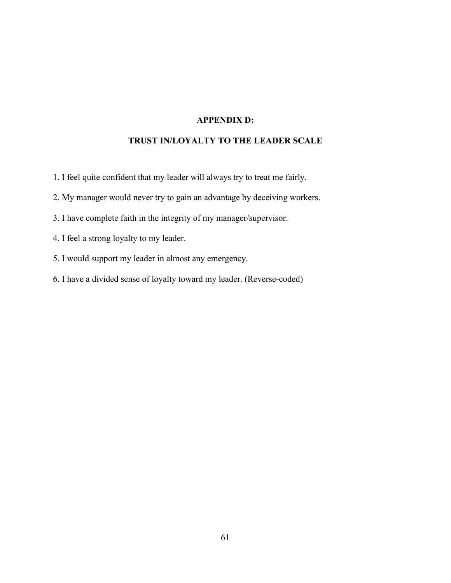## **APPENDIX D:**

## **TRUST IN/LOYALTY TO THE LEADER SCALE**

- 1. I feel quite confident that my leader will always try to treat me fairly.
- 2. My manager would never try to gain an advantage by deceiving workers.
- 3. I have complete faith in the integrity of my manager/supervisor.
- 4. I feel a strong loyalty to my leader.
- 5. I would support my leader in almost any emergency.
- 6. I have a divided sense of loyalty toward my leader. (Reverse-coded)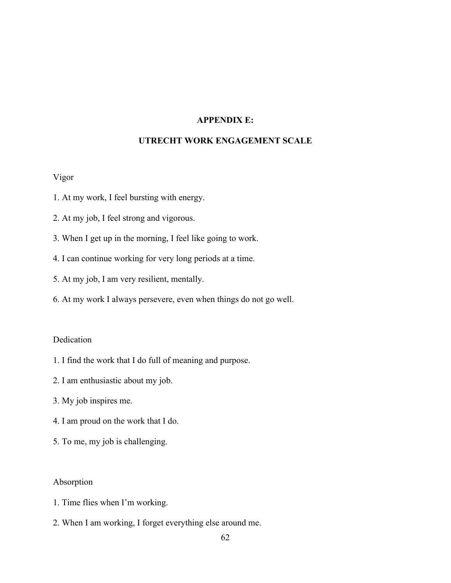## **APPENDIX E:**

## **UTRECHT WORK ENGAGEMENT SCALE**

## Vigor

- 1. At my work, I feel bursting with energy.
- 2. At my job, I feel strong and vigorous.
- 3. When I get up in the morning, I feel like going to work.
- 4. I can continue working for very long periods at a time.
- 5. At my job, I am very resilient, mentally.
- 6. At my work I always persevere, even when things do not go well.

## Dedication

- 1. I find the work that I do full of meaning and purpose.
- 2. I am enthusiastic about my job.
- 3. My job inspires me.
- 4. I am proud on the work that I do.
- 5. To me, my job is challenging.

## Absorption

- 1. Time flies when I'm working.
- 2. When I am working, I forget everything else around me.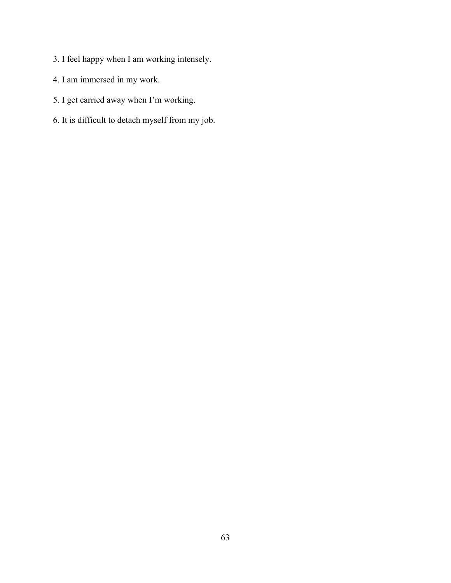- 3. I feel happy when I am working intensely.
- 4. I am immersed in my work.
- 5. I get carried away when I'm working.
- 6. It is difficult to detach myself from my job.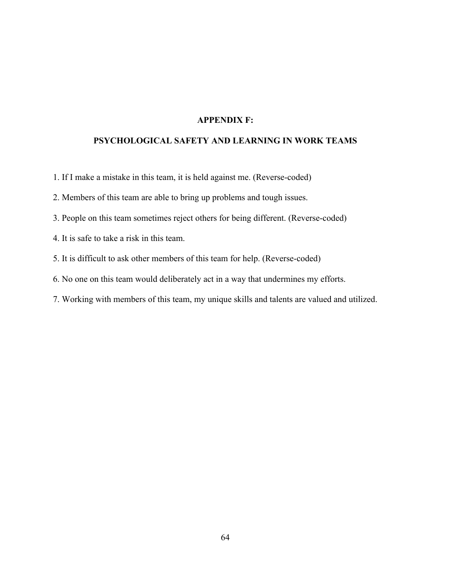## **APPENDIX F:**

## **PSYCHOLOGICAL SAFETY AND LEARNING IN WORK TEAMS**

1. If I make a mistake in this team, it is held against me. (Reverse-coded)

2. Members of this team are able to bring up problems and tough issues.

3. People on this team sometimes reject others for being different. (Reverse-coded)

4. It is safe to take a risk in this team.

5. It is difficult to ask other members of this team for help. (Reverse-coded)

6. No one on this team would deliberately act in a way that undermines my efforts.

7. Working with members of this team, my unique skills and talents are valued and utilized.